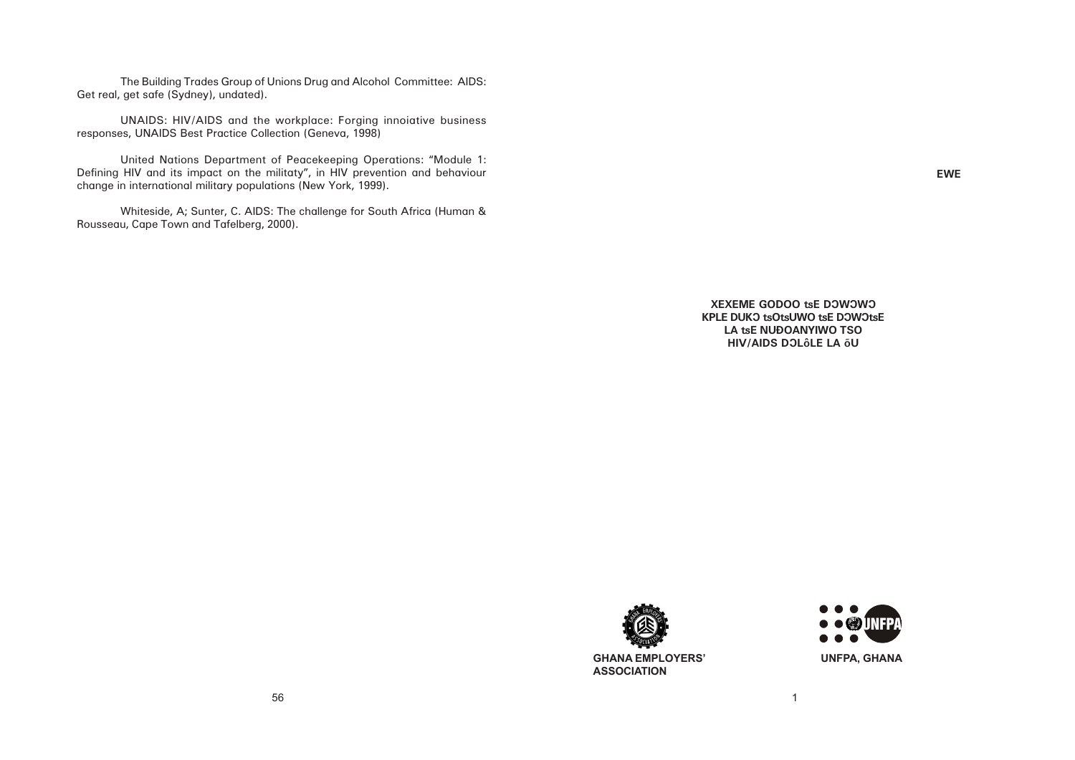**EWE**





The Building Trades Group of Unions Drug and Alcohol Committee: AIDS: Get real, get safe (Sydney), undated).

UNAIDS: HIV/AIDS and the workplace: Forging innoiative business responses, UNAIDS Best Practice Collection (Geneva, 1998)

United Nations Department of Peacekeeping Operations: "Module 1: Defining HIV and its impact on the militaty", in HIV prevention and behaviour change in international military populations (New York, 1999).

Whiteside, A; Sunter, C. AIDS: The challenge for South Africa (Human & Rousseau, Cape Town and Tafelberg, 2000).

> **XEXEME GODOO tsE DOWOWO KPLE DUKO tsOtsUWO tsE DOWOtsE LA tsE NUĐOANYIWO TSO HIV/AIDS DOLÔLE LA ÕU**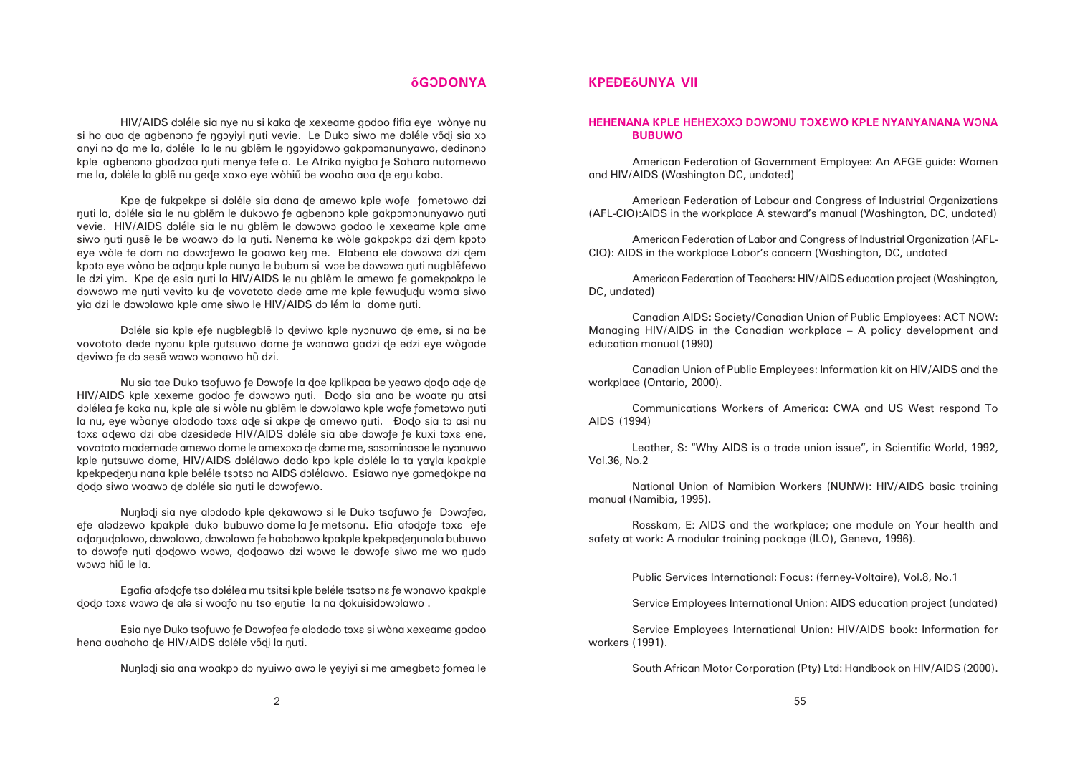# **ÅGÔDONYA**

HIV/AIDS doléle sia nye nu si kaka de xexeame godoo fifia eye wònye nu si ho ava de agbenono fe napvivi nuti vevie. Le Duko siwo me doléle võdi sia xo anyi no do me la, doléle la le nu gblẽm le ngoyidowo gakpomonunyawo, dedinono kple agbenono gbadzaa nuti menye fefe o. Le Afrika nyigba fe Sahara nutomewo me la, doléle la gble nu gede xoxo eye wòhiũ be woaho aua de enu kaba.

Kpe de fukpekpe si doléle sia dana de amewo kple wofe fometowo dzi nuti la, doléle sia le nu gblẽm le dukowo fe agbenono kple gakpomonunyawo nuti vevie. HIV/AIDS doléle sia le nu gblem le dowowo godoo le xexeame kple ame siwo nuti nusẽ le be woawo do la nuti. Nenema ke wòle gakpokpo dzi dem kpoto eye wòle fe dom na dowofewo le goawo ken me. Elabena ele dowowo dzi dem kpoto eye wòng be adanu kple nunya le bubum si woe be dowowo nuti nugblẽfewo le dzi yim. Kpe de esia nuti la HIV/AIDS le nu gblẽm le amewo fe gomekpokpo le dowowo me nuti vevito ku de vovototo dede ame me kple fewududu woma siwo yia dzi le dowolawo kple ame siwo le HIV/AIDS do lém la dome nuti.

Doléle sia kple efe nugblegble lo deviwo kple nyonuwo de eme, si na be vovototo dede nyonu kple nutsuwo dome fe wonawo gadzi de edzi eye wògade deviwo fe do sesẽ wowo wonawo hũ dzi.

Nu sia tae Duko tsofuwo fe Dowofe la doe kplikpaa be yeawo dodo ade de HIV/AIDS kple xexeme godoo fe dowowo nuti. Đodo sia ana be woate nu atsi dolélea fe kaka nu, kple ale si wòle nu gblẽm le dowolawo kple wofe fometowo nuti la nu, eye wõanye alododo toxa ade si akpe de amewo nuti. Đodo sia to asi nu toxe adewo dzi abe dzesidede HIV/AIDS doléle sia abe dowofe fe kuxi toxe ene, vovototo mademade amewo dome le amexoxo de dome me, sosominasoe le nyonuwo kple nutsuwo dome, HIV/AIDS dolélawo dodo kpo kple doléle la ta yayla kpakple kpekpedenu nana kple beléle tsotso na AIDS dolélawo. Esiawo nye gomedokpe na dodo siwo woawo de doléle sia nuti le dowofewo.

Nunlodi sia nye alododo kple dekawowo si le Duko tsofuwo fe Dowofea, efe alodzewo kpakple duko bubuwo dome la fe metsonu. Efia afodofe toxa efe adanudolawo, dôwôlawo, dôwôlawo fe habôbôwo kpakple kpekpedenunala bubuwo to dowofe nuti dodowo wowo, dodoawo dzi wowo le dowofe siwo me wo nudo wowo hiũ le la.

Egafia afodofe tso dolélea mu tsitsi kple beléle tsotso na fe wonawo kpakple dodo toxa wowo de ale si woafo nu tso enutie la na dokuisidowolawo .

Esia nye Duko tsofuwo fe Dowofea fe alododo toxa si wòna xexeame godoo hena avahoho de HIV/AIDS doléle võdi la nuti.

Nunlodi sia ana woakpo do nyuiwo awo le yeyiyi si me amegbeto fomea le

American Federation of Teachers: HIV/AIDS education project (Washington, DC, undated)

# **KPEÐEÅUNYA VII**

# **HEHENANA KPLE HEHEXÔXÔ DÔWÔNU TÔXÂWO KPLE NYANYANANA WÔNA BUBUWO**

American Federation of Government Employee: An AFGE guide: Women and HIV/AIDS (Washington DC, undated)

American Federation of Labour and Congress of Industrial Organizations (AFL-CIO):AIDS in the workplace A steward's manual (Washington, DC, undated)

American Federation of Labor and Congress of Industrial Organization (AFL-CIO): AIDS in the workplace Labor's concern (Washington, DC, undated

Canadian AIDS: Society/Canadian Union of Public Employees: ACT NOW: Managing HIV/AIDS in the Canadian workplace – A policy development and education manual (1990)

Canadian Union of Public Employees: Information kit on HIV/AIDS and the workplace (Ontario, 2000).

Communications Workers of America: CWA and US West respond To AIDS (1994)

Leather, S: "Why AIDS is a trade union issue", in Scientific World, 1992, Vol.36, No.2

National Union of Namibian Workers (NUNW): HIV/AIDS basic training manual (Namibia, 1995).

Rosskam, E: AIDS and the workplace; one module on Your health and safety at work: A modular training package (ILO), Geneva, 1996).

Public Services International: Focus: (ferney-Voltaire), Vol.8, No.1

Service Employees International Union: AIDS education project (undated)

Service Employees International Union: HIV/AIDS book: Information for workers (1991).

South African Motor Corporation (Pty) Ltd: Handbook on HIV/AIDS (2000).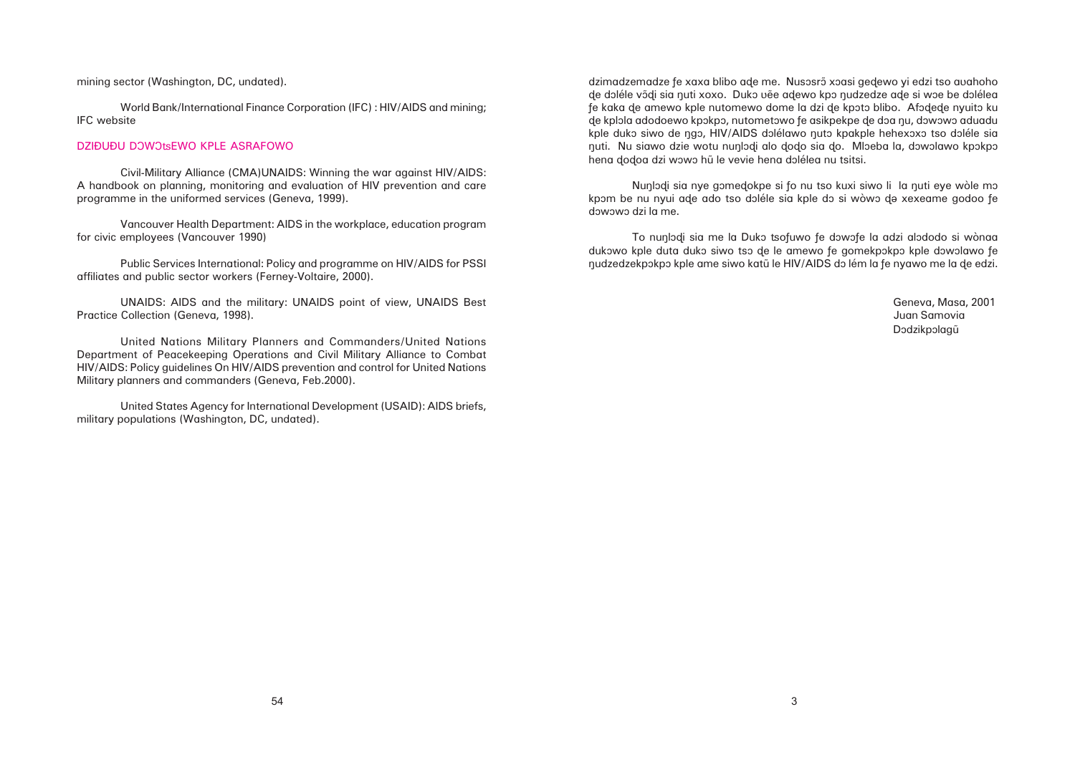Nunlodi sia nye gomedokpe si fo nu tso kuxi siwo li la nuti eye wòle mo kpom be nu nyui ade ado tso doléle sia kple do si wòwo de xexeame godoo fe dôwôwô dzi la me.

To nunlodi sia me la Duko tsofuwo fe dowofe la adzi alododo si wònaa dukowo kple duta duko siwo tso de le amewo fe gomekpokpo kple dowolawo fe nudzedzekpokpo kple ame siwo katū le HIV/AIDS do lém la fe nyawo me la de edzi.

> Geneva, Masa, 2001 Juan Samovia Dodzikpolagū

mining sector (Washington, DC, undated).

World Bank/International Finance Corporation (IFC) : HIV/AIDS and mining; IFC website

### DZIĐUĐU DOWOtsEWO KPLE ASRAFOWO

Civil-Military Alliance (CMA)UNAIDS: Winning the war against HIV/AIDS: A handbook on planning, monitoring and evaluation of HIV prevention and care programme in the uniformed services (Geneva, 1999).

Vancouver Health Department: AIDS in the workplace, education program for civic employees (Vancouver 1990)

Public Services International: Policy and programme on HIV/AIDS for PSSI affiliates and public sector workers (Ferney-Voltaire, 2000).

UNAIDS: AIDS and the military: UNAIDS point of view, UNAIDS Best Practice Collection (Geneva, 1998).

United Nations Military Planners and Commanders/United Nations Department of Peacekeeping Operations and Civil Military Alliance to Combat HIV/AIDS: Policy guidelines On HIV/AIDS prevention and control for United Nations Military planners and commanders (Geneva, Feb.2000).

United States Agency for International Development (USAID): AIDS briefs, military populations (Washington, DC, undated).

dzimadzemadze fe xaxa blibo ade me. Nusosrõ xoasi gedewo yi edzi tso avahoho de doléle võdi sia nuti xoxo. Duko vẽe adewo kpo nudzedze ade si woe be dolélea fe kaka de amewo kple nutomewo dome la dzi de kpoto blibo. Afodede nyuito ku de kplola adodoewo kpokpo, nutometowo fe asikpekpe de doa nu, dowowo aduadu kple duko siwo de ngo, HIV/AIDS dolélawo nuto kpakple hehexoxo tso doléle sia huti. Nu siawo dzie wotu nunlodi alo dodo sia do. Mloeba la, dowolawo kpokpo hena dodoa dzi wowo hũ le vevie hena dolélea nu tsitsi.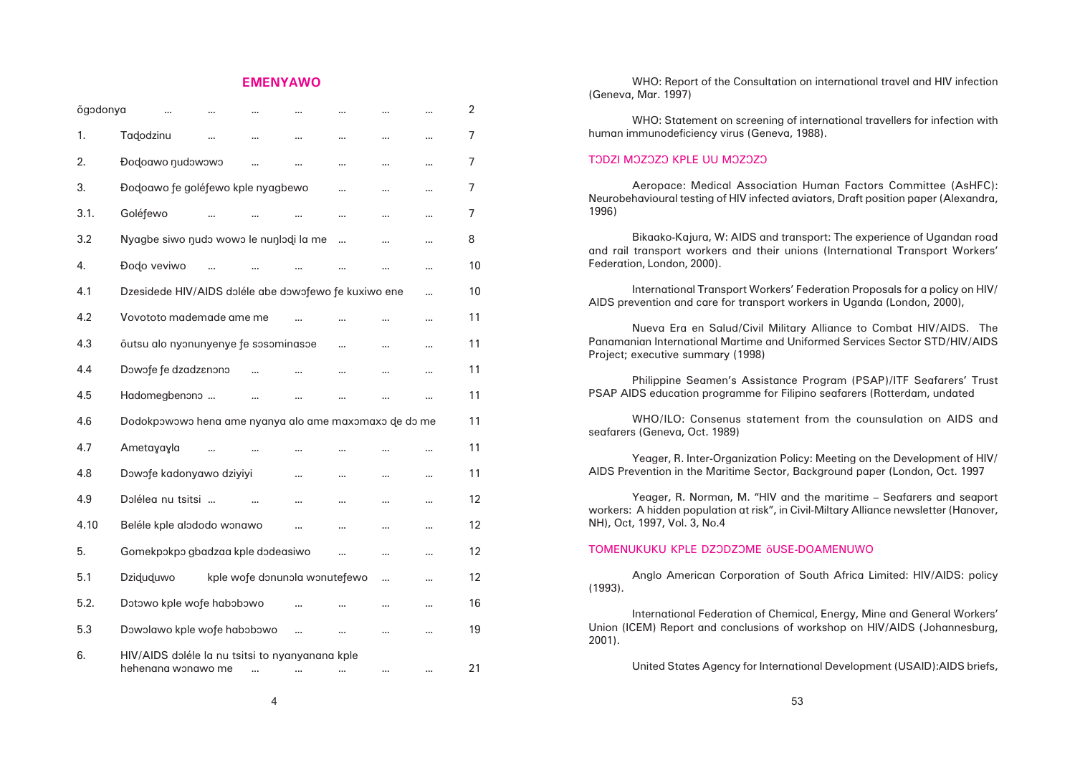# **EMENYAWO**

| õgodonya |                                                                       |  |  |                               |           |          |     | $\overline{2}$ |
|----------|-----------------------------------------------------------------------|--|--|-------------------------------|-----------|----------|-----|----------------|
| 1.       | Tadodzinu                                                             |  |  |                               |           |          | ,,, | $\overline{7}$ |
| 2.       | <b>Dodoawo nudowowo</b>                                               |  |  |                               |           |          |     | $\overline{7}$ |
| 3.       | Đodoawo fe goléfewo kple nyagbewo                                     |  |  |                               |           |          |     | 7              |
| 3.1.     | Goléfewo                                                              |  |  |                               | $\cdots$  |          | ,,, | $\overline{7}$ |
| 3.2      | Nyagbe siwo nudo wowo le nunlodi la me                                |  |  |                               |           |          |     | 8              |
| 4.       | Đodo veviwo                                                           |  |  |                               |           |          |     | 10             |
| 4.1      | Dzesidede HIV/AIDS doléle abe dowofewo fe kuxiwo ene                  |  |  |                               |           |          |     | 10             |
| 4.2      | Vovototo mademade ame me                                              |  |  |                               |           |          |     | 11             |
| 4.3      | õutsu alo nyonunyenye fe sosominasoe                                  |  |  |                               | $\ddotsc$ | $\cdots$ |     | 11             |
| 4.4      | Dowofe fe dzadzenono                                                  |  |  |                               |           |          |     | 11             |
| 4.5      | Hadomegbenono                                                         |  |  |                               |           |          |     | 11             |
| 4.6      | Dodokpowowo hena ame nyanya alo ame maxomaxo de do me                 |  |  |                               |           |          |     | 11             |
| 4.7      | Ametayayla                                                            |  |  | $\cdots$                      |           |          |     | 11             |
| 4.8      | Dowofe kadonyawo dziyiyi                                              |  |  | $\cdots$                      |           | $\cdots$ |     | 11             |
| 4.9      | Dolélea nu tsitsi                                                     |  |  |                               |           |          |     | 12             |
| 4.10     | Beléle kple alododo wonawo                                            |  |  |                               |           |          |     | 12             |
| 5.       | Gomekpokpo gbadzaa kple dodeasiwo                                     |  |  |                               |           |          |     | 12             |
| 5.1      | Dziduduwo                                                             |  |  | kple wofe donunola wonutefewo |           |          |     | 12             |
| 5.2.     | Dotowo kple wofe habobowo                                             |  |  |                               |           |          | ,,, | 16             |
| 5.3      | Dowolawo kple wofe habobowo                                           |  |  |                               |           |          |     | 19             |
| 6.       | HIV/AIDS doléle la nu tsitsi to nyanyanana kple<br>hehenana wonawo me |  |  |                               |           |          |     | 21             |

(Geneva, Mar. 1997)

human immunodeficiency virus (Geneva, 1988).

# TODZI MOZOZO KPLE UU MOZOZO

Neurobehavioural testing of HIV infected aviators, Draft position paper (Alexandra, 1996)

and rail transport workers and their unions (International Transport Workers' Federation, London, 2000).

AIDS prevention and care for transport workers in Uganda (London, 2000),

- WHO: Report of the Consultation on international travel and HIV infection
- WHO: Statement on screening of international travellers for infection with
- Aeropace: Medical Association Human Factors Committee (AsHFC):
- Bikaako-Kajura, W: AIDS and transport: The experience of Ugandan road
- International Transport Workers' Federation Proposals for a policy on HIV/
- Nueva Era en Salud/Civil Military Alliance to Combat HIV/AIDS. The
- Philippine Seamen's Assistance Program (PSAP)/ITF Seafarers' Trust
- WHO/ILO: Consenus statement from the counsulation on AIDS and
- Yeager, R. Inter-Organization Policy: Meeting on the Development of HIV/
	-
- Anglo American Corporation of South Africa Limited: HIV/AIDS: policy
- International Federation of Chemical, Energy, Mine and General Workers'
	-

Panamanian International Martime and Uniformed Services Sector STD/HIV/AIDS Project; executive summary (1998)

PSAP AIDS education programme for Filipino seafarers (Rotterdam, undated

seafarers (Geneva, Oct. 1989)

AIDS Prevention in the Maritime Sector, Background paper (London, Oct. 1997

Yeager, R. Norman, M. "HIV and the maritime – Seafarers and seaport workers: A hidden population at risk", in Civil-Miltary Alliance newsletter (Hanover, NH), Oct, 1997, Vol. 3, No.4

# TOMENUKUKU KPLE DZODZOME ÕUSE-DOAMENUWO

(1993).

Union (ICEM) Report and conclusions of workshop on HIV/AIDS (Johannesburg, 2001).

United States Agency for International Development (USAID):AIDS briefs,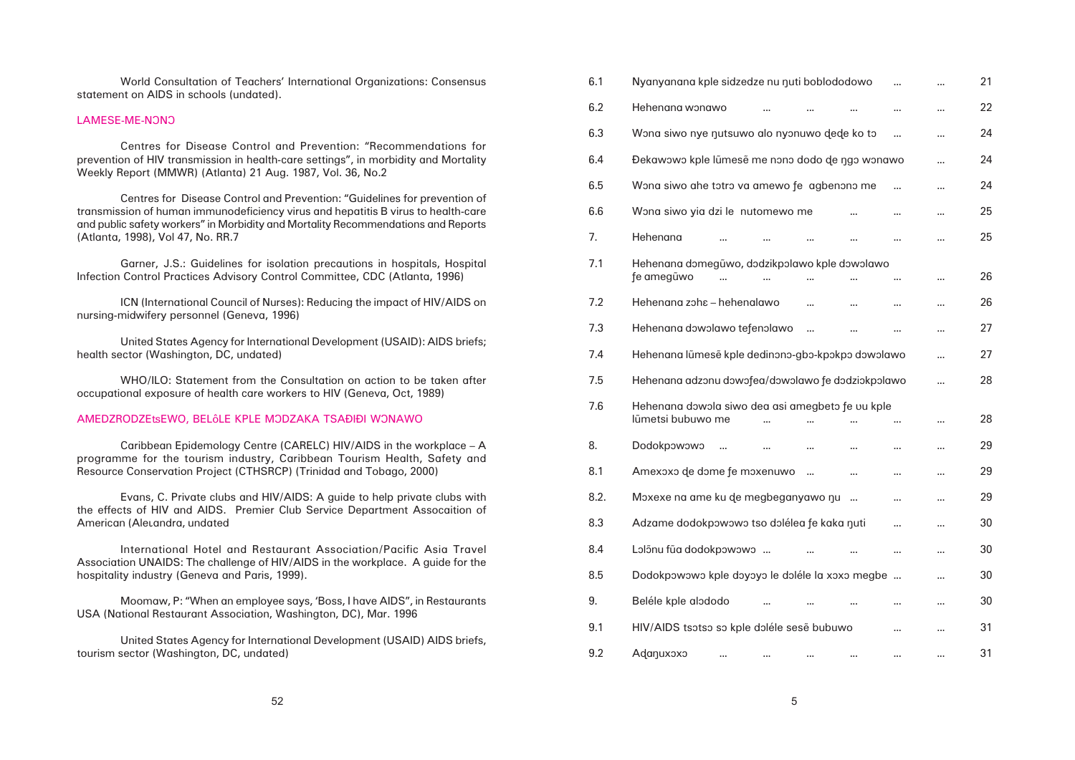| 6.1                                                  | Nyanyanana kple sidzedze nu nuti boblododowo      |  |  |  |        |          | 21 |
|------------------------------------------------------|---------------------------------------------------|--|--|--|--------|----------|----|
| 6.2                                                  | Hehenana wonawo                                   |  |  |  |        |          | 22 |
| 6.3                                                  | Wona siwo nye nutsuwo alo nyonuwo dede ko to      |  |  |  |        |          | 24 |
| 6.4                                                  | Đekawowo kple lũmesẽ me nono dodo de ngo wonawo   |  |  |  |        | $\cdots$ | 24 |
| 6.5                                                  | Wona siwo ahe totro va amewo fe agbenono me       |  |  |  |        |          | 24 |
| 6.6                                                  | Wona siwo yia dzi le nutomewo me                  |  |  |  |        |          | 25 |
| 7.                                                   | Hehenana                                          |  |  |  |        |          | 25 |
| 7.1<br>Hehenana domegũwo, dodzikpolawo kple dowolawo |                                                   |  |  |  |        |          |    |
|                                                      | fe amegũwo                                        |  |  |  |        |          | 26 |
| 7.2                                                  | Hehenana zoha - hehenalawo                        |  |  |  |        |          | 26 |
| 7.3                                                  | Hehenana dowolawo tefenolawo                      |  |  |  |        |          | 27 |
| 7.4                                                  | Hehenana lũmesẽ kple dedinono-gbo-kpokpo dowolawo |  |  |  |        |          | 27 |
| 7.5                                                  | Hehenana adzonu dowofea/dowolawo fe dodziokpolawo |  |  |  |        |          | 28 |
| 7.6                                                  | Hehenana dowola siwo dea asi amegbeto fe uu kple  |  |  |  |        |          |    |
|                                                      | lũmetsi bubuwo me                                 |  |  |  |        |          | 28 |
| 8.                                                   | Dodokpowowo                                       |  |  |  |        |          | 29 |
| 8.1                                                  | Amexoxo de dome fe moxenuwo                       |  |  |  | ,,,    |          | 29 |
| 8.2.                                                 | Moxexe na ame ku de megbeganyawo nu               |  |  |  |        |          | 29 |
| 8.3                                                  | Adzame dodokpowowo tso dolélea fe kaka nuti       |  |  |  |        |          | 30 |
| 8.4                                                  | Lolonu fua dodokpowowo                            |  |  |  | $\sim$ | ,,,      | 30 |
| 8.5                                                  | Dodokpowowo kple doyoyo le doléle la xoxo megbe   |  |  |  |        |          | 30 |
| 9.                                                   | Beléle kple alododo                               |  |  |  |        |          | 30 |
| 9.1                                                  | HIV/AIDS tsotso so kple doléle sese bubuwo        |  |  |  |        |          | 31 |
| 9.2                                                  | Adanuxoxo                                         |  |  |  |        |          | 31 |

| World Consultation of Teachers' International Organizations: Consensus |  |  |
|------------------------------------------------------------------------|--|--|
| statement on AIDS in schools (undated).                                |  |  |

### LAMESE-ME-NONO

Evans, C. Private clubs and HIV/AIDS: A guide to help private clubs with the effects of HIV and AIDS. Premier Club Service Department Assocaition of American (Aleyandra, undated

Centres for Disease Control and Prevention: "Recommendations for prevention of HIV transmission in health-care settings", in morbidity and Mortality Weekly Report (MMWR) (Atlanta) 21 Aug. 1987, Vol. 36, No.2

Centres for Disease Control and Prevention: "Guidelines for prevention of transmission of human immunodeficiency virus and hepatitis B virus to health-care and public safety workers" in Morbidity and Mortality Recommendations and Reports (Atlanta, 1998), Vol 47, No. RR.7

Garner, J.S.: Guidelines for isolation precautions in hospitals, Hospital Infection Control Practices Advisory Control Committee, CDC (Atlanta, 1996)

ICN (International Council of Nurses): Reducing the impact of HIV/AIDS on nursing-midwifery personnel (Geneva, 1996)

United States Agency for International Development (USAID): AIDS briefs; health sector (Washington, DC, undated)

WHO/ILO: Statement from the Consultation on action to be taken after occupational exposure of health care workers to HIV (Geneva, Oct, 1989)

### AMEDZRODZEtsEWO, BELÔLE KPLE MODZAKA TSAÐIÐI WONAWO

Caribbean Epidemology Centre (CARELC) HIV/AIDS in the workplace – A programme for the tourism industry, Caribbean Tourism Health, Safety and Resource Conservation Project (CTHSRCP) (Trinidad and Tobago, 2000)

International Hotel and Restaurant Association/Pacific Asia Travel Association UNAIDS: The challenge of HIV/AIDS in the workplace. A guide for the hospitality industry (Geneva and Paris, 1999).

Moomaw, P: "When an employee says, 'Boss, I have AIDS", in Restaurants USA (National Restaurant Association, Washington, DC), Mar. 1996

United States Agency for International Development (USAID) AIDS briefs, tourism sector (Washington, DC, undated)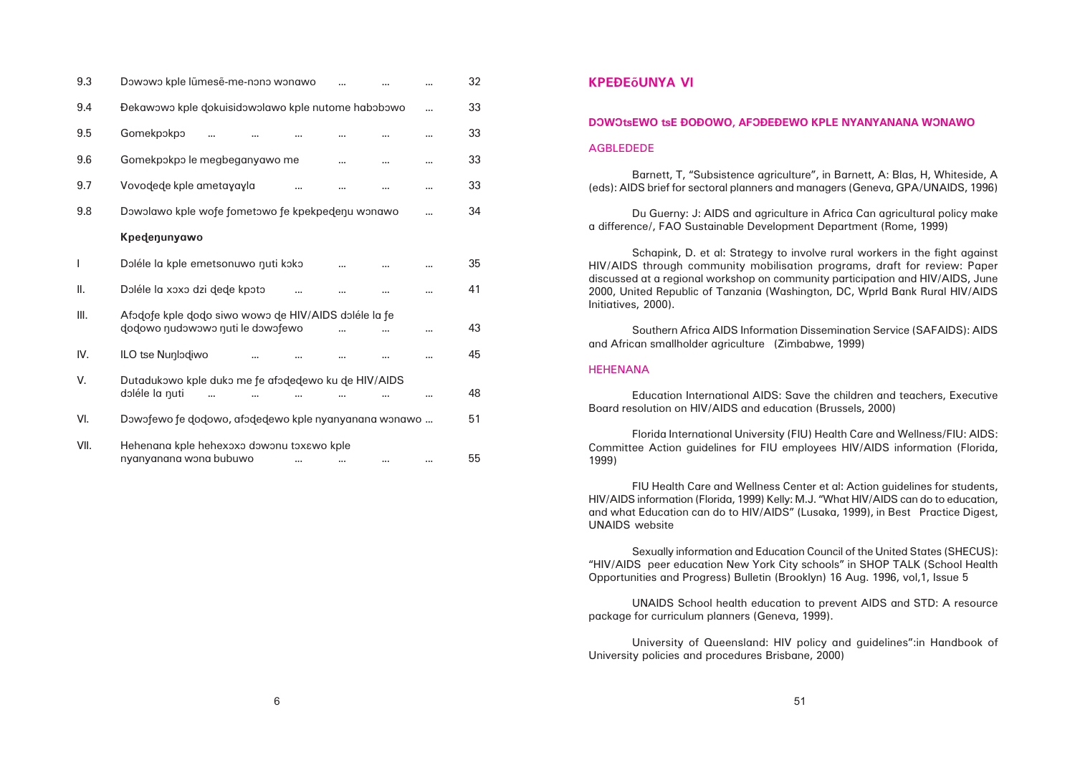| 9.3  | Dowowo kple lūmese-me-nono wonawo                                                        |  |     | 32 |
|------|------------------------------------------------------------------------------------------|--|-----|----|
| 9.4  | Đekawowo kple dokuisidowolawo kple nutome habobowo                                       |  |     | 33 |
| 9.5  | Gomekpokpo                                                                               |  |     | 33 |
| 9.6  | Gomekpokpo le megbeganyawo me                                                            |  |     | 33 |
| 9.7  | Vovodede kple ametayayla                                                                 |  |     | 33 |
| 9.8  | Dowolawo kple wofe fometowo fe kpekpedenu wonawo                                         |  | 34  |    |
|      | Kpedenunyawo                                                                             |  |     |    |
| I    | Doléle la kple emetsonuwo nuti koko                                                      |  |     | 35 |
| ΙΙ.  | Doléle la xoxo dzi dede kpoto                                                            |  |     | 41 |
| Ⅲ.   | Afodofe kple dodo siwo wowo de HIV/AIDS doléle la fe<br>dodowo nudowowo nuti le dowofewo |  |     | 43 |
| IV.  | ILO tse Nunlodiwo                                                                        |  |     | 45 |
| V.   | Dutadukowo kple duko me fe afodedewo ku de HIV/AIDS<br>doléle la nuti                    |  |     | 48 |
| VI.  | Dowofewo fe dodowo, afodedewo kple nyanyanana wonawo                                     |  |     | 51 |
| VII. | Hehenana kple hehexoxo dowonu toxawo kple<br>nyanyanana wona bubuwo<br>$\cdots$          |  | ,,, | 55 |

# **KPEÐEÅUNYA VI**

# DOWOtsEWO tsE ĐOĐOWO, AFOĐEĐEWO KPLE NYANYANANA WONAWO

### AGBLEDEDE

Barnett, T, "Subsistence agriculture", in Barnett, A: Blas, H, Whiteside, A (eds): AIDS brief for sectoral planners and managers (Geneva, GPA/UNAIDS, 1996)

Du Guerny: J: AIDS and agriculture in Africa Can agricultural policy make a difference/, FAO Sustainable Development Department (Rome, 1999)

Schapink, D. et al: Strategy to involve rural workers in the fight against HIV/AIDS through community mobilisation programs, draft for review: Paper discussed at a regional workshop on community participation and HIV/AIDS, June 2000, United Republic of Tanzania (Washington, DC, Wprld Bank Rural HIV/AIDS Initiatives, 2000).

Southern Africa AIDS Information Dissemination Service (SAFAIDS): AIDS and African smallholder agriculture (Zimbabwe, 1999)

### **HEHENANA**

Education International AIDS: Save the children and teachers, Executive Board resolution on HIV/AIDS and education (Brussels, 2000)

Florida International University (FIU) Health Care and Wellness/FIU: AIDS: Committee Action guidelines for FIU employees HIV/AIDS information (Florida, 1999)

FIU Health Care and Wellness Center et al: Action guidelines for students, HIV/AIDS information (Florida, 1999) Kelly: M.J. "What HIV/AIDS can do to education, and what Education can do to HIV/AIDS" (Lusaka, 1999), in Best Practice Digest, UNAIDS website

Sexually information and Education Council of the United States (SHECUS): "HIV/AIDS peer education New York City schools" in SHOP TALK (School Health Opportunities and Progress) Bulletin (Brooklyn) 16 Aug. 1996, vol,1, Issue 5

UNAIDS School health education to prevent AIDS and STD: A resource package for curriculum planners (Geneva, 1999).

University of Queensland: HIV policy and guidelines":in Handbook of University policies and procedures Brisbane, 2000)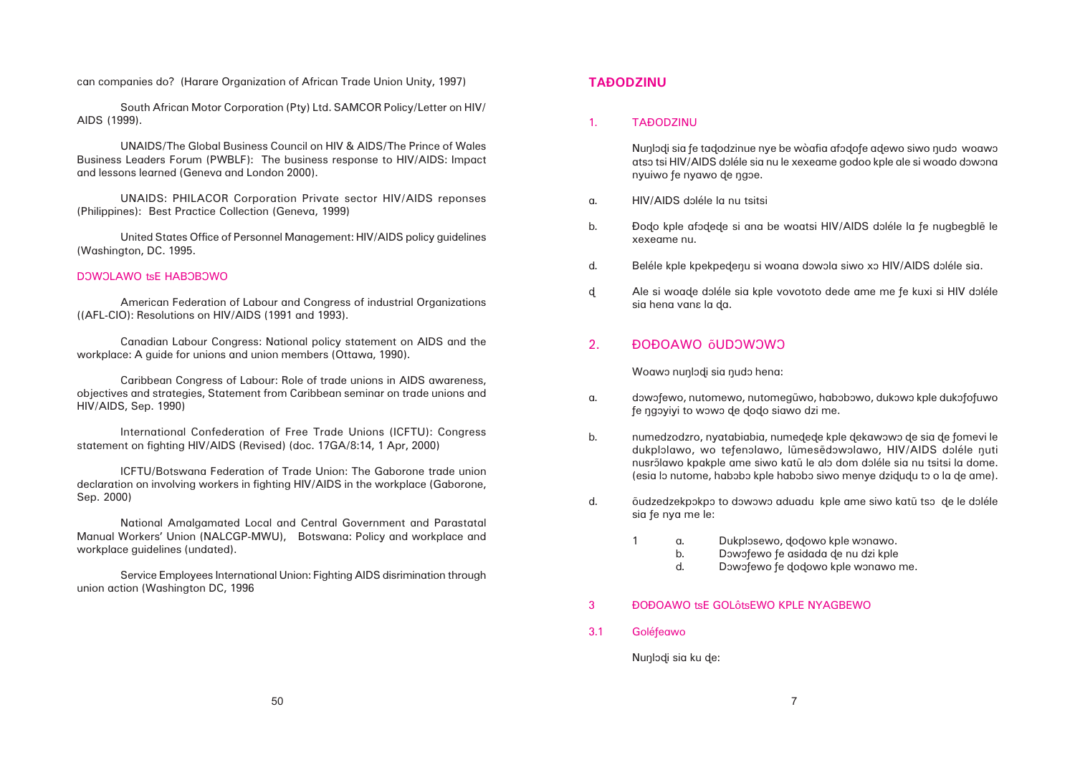dukplolawo, wo tefenolawo, lũmesẽdowolawo, HIV/AIDS doléle nuti nusrõlawo kpakple ame siwo katū le alo dom doléle sia nu tsitsi la dome. (esia lo nutome, habobo kple habobo siwo menye dzidudu to o la de ame).

b. Dowofewo fe asidada de nu dzi kple d. Dowofewo fe dodowo kple wonawo me.

# **TAÐODZINU**

### 1. TAÐODZINU

Nunlodi sia fe tadodzinue nye be wòafia afodofe adewo siwo nudo woawo atso tsi HIV/AIDS doléle sia nu le xexeame godoo kple ale si woado dowona nyuiwo fe nyawo de ngoe.

- a. HIV/AIDS dôléle la nu tsitsi
- b. **Đodo kple afodede si ana be woatsi HIV/AIDS** doléle la fe nugbegble le xexeame nu.
- d. Beléle kple kpekpedenu si woana dowola siwo xo HIV/AIDS doléle sia.
- d Ale si woade doléle sia kple vovototo dede ame me fe kuxi si HIV doléle sia hena vana la da.

# 2. ÐOÐOAWO õUDOWOWO

Woawo nunlodi sia nudo hena:

- a. dowofewo, nutomewo, nutomegũwo, habobowo, dukowo kple dukofofuwo fe ngoyiyi to wowo de dodo siawo dzi me.
- b. numedzodzro, nyatabiabia, numedede kple dekawowo de sia de fomevi le
- d. 
oudzedzekpokpo to dowowo aduadu kple ame siwo katū tso de le doléle sia fe nya me le:
	- 1 a. Dukplosewo, dodowo kple wonawo.
		- -
- 3 ĐOĐOAWO tsE GOLôtsEWO KPLE NYAGBEWO
- 3.1 Goléfeawo

Nunlodi sia ku de:

can companies do? (Harare Organization of African Trade Union Unity, 1997)

South African Motor Corporation (Pty) Ltd. SAMCOR Policy/Letter on HIV/ AIDS (1999).

UNAIDS/The Global Business Council on HIV & AIDS/The Prince of Wales Business Leaders Forum (PWBLF): The business response to HIV/AIDS: Impact and lessons learned (Geneva and London 2000).

UNAIDS: PHILACOR Corporation Private sector HIV/AIDS reponses (Philippines): Best Practice Collection (Geneva, 1999)

United States Office of Personnel Management: HIV/AIDS policy guidelines (Washington, DC. 1995.

# DOWOLAWO tsE HABOBOWO

American Federation of Labour and Congress of industrial Organizations ((AFL-CIO): Resolutions on HIV/AIDS (1991 and 1993).

Canadian Labour Congress: National policy statement on AIDS and the workplace: A guide for unions and union members (Ottawa, 1990).

Caribbean Congress of Labour: Role of trade unions in AIDS awareness, objectives and strategies, Statement from Caribbean seminar on trade unions and HIV/AIDS, Sep. 1990)

International Confederation of Free Trade Unions (ICFTU): Congress statement on fighting HIV/AIDS (Revised) (doc. 17GA/8:14, 1 Apr, 2000)

ICFTU/Botswana Federation of Trade Union: The Gaborone trade union declaration on involving workers in fighting HIV/AIDS in the workplace (Gaborone, Sep. 2000)

National Amalgamated Local and Central Government and Parastatal Manual Workers' Union (NALCGP-MWU), Botswana: Policy and workplace and workplace guidelines (undated).

Service Employees International Union: Fighting AIDS disrimination through union action (Washington DC, 1996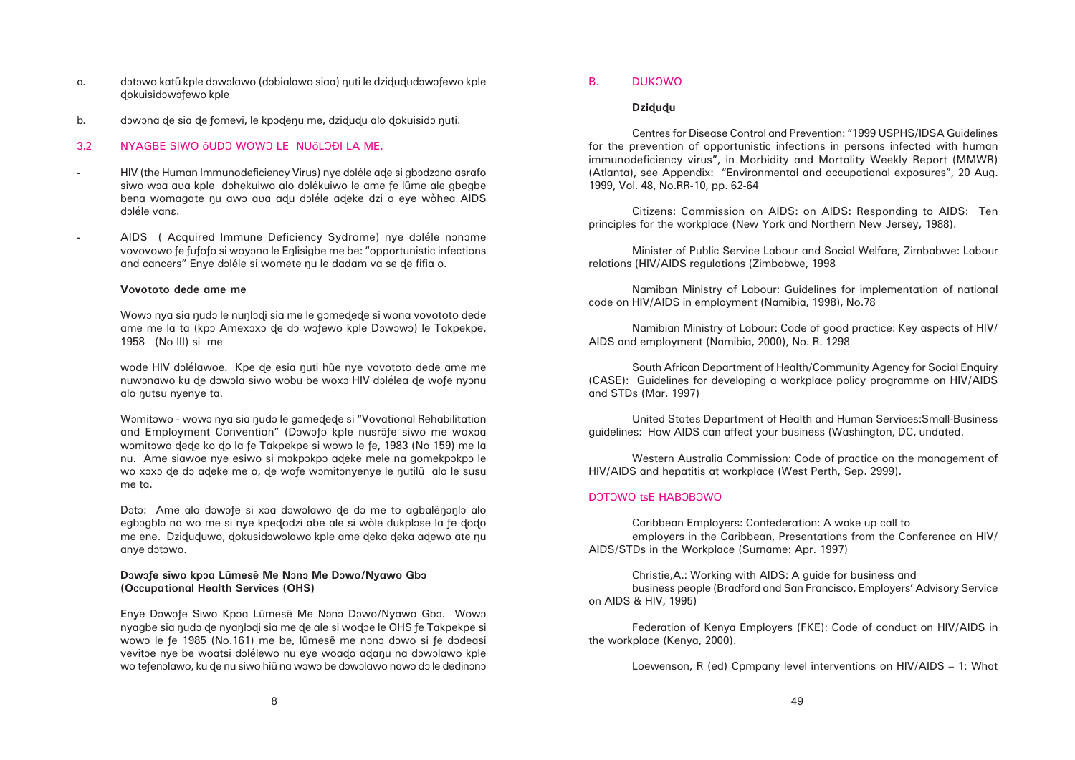- a. dôtowo katū kple dôwôlawo (dôbialawo siaa) nuti le dzidududôwôfewo kple ðokuisidôwôñewo kple
- b. dowona de sia de fomevi, le kpôdenu me, dzidudu alo dokuisido nuti.

### 3.2 NYAGBE SIWO ÕUDO WOWO LE NUÕLOĐI LA ME.

- HIV (the Human Immunodeficiency Virus) nye doléle ade si gbodzona asrafo siwo woa aua kple dohekuiwo alo dolékuiwo le ame fe lũme ale gbegbe bena womagate nu awo aua adu doléle adeke dzi o eye wòhea AIDS doléle vana.
- AIDS ( Acquired Immune Deficiency Sydrome) nye doléle nonome vovovowo fe fufofo si woyona le Enlisigbe me be: "opportunistic infections and cancers" Enye doléle si womete nu le dadam va se de fifia o.

Wowo nya sia nudo le nunlodi sia me le gomedede si wona vovototo dede ame me la ta (kpo Amexoxo de do wofewo kple Dowowo) le Takpekpe, 1958 (No III) si me

wode HIV dolélawoe. Kpe de esia nuti hue nye vovototo dede ame me nuwonawo ku de dowola siwo wobu be woxo HIV dolélea de wofe nyonu alo nutsu nyenye ta.

### **Vovototo dede ame me**

Womitowo - wowo nya sia nudo le gomedede si "Vovational Rehabilitation and Employment Convention" (Dowofe kple nusrofe siwo me woxoa womitowo dede ko do la fe Takpekpe si wowo le fe, 1983 (No 159) me la nu. Ame siawoe nye esiwo si mokpokpo adeke mele na gomekpokpo le wo xoxo de do adeke me o, de wofe womitonyenye le nutilu alo le susu me ta.

Doto: Ame alo dowofe si xoa dowolawo de do me to agbalenonlo alo egbogblo na wo me si nye kpedodzi abe ale si wòle dukplose la fe dodo me ene. Dziduduwo, dokusidowolawo kple ame deka deka adewo ate nu anye dôtôwo.

### Dowofe siwo kpoa Lũmesẽ Me Nono Me Dowo/Nyawo Gbo **(Occupational Health Services (OHS)**

Enye Dowofe Siwo Kpoa Lũmesẽ Me Nono Dowo/Nyawo Gbo. Wowo nyagbe sia nudo de nyanlodi sia me de ale si wodoe le OHS fe Takpekpe si wowo le fe 1985 (No.161) me be, lũmesẽ me nono dowo si fe dodeasi vevitoe nye be woatsi dolélewo nu eye woado adanu na dowolawo kple wo tefenolawo, ku de nu siwo hiũ na wowo be dowolawo nawo do le dedinono

### B. DUKOWO

### **Dziðuðu**

Centres for Disease Control and Prevention: "1999 USPHS/IDSA Guidelines for the prevention of opportunistic infections in persons infected with human immunodeficiency virus", in Morbidity and Mortality Weekly Report (MMWR) (Atlanta), see Appendix: "Environmental and occupational exposures", 20 Aug. 1999, Vol. 48, No.RR-10, pp. 62-64

Citizens: Commission on AIDS: on AIDS: Responding to AIDS: Ten principles for the workplace (New York and Northern New Jersey, 1988).

Minister of Public Service Labour and Social Welfare, Zimbabwe: Labour relations (HIV/AIDS regulations (Zimbabwe, 1998

Namiban Ministry of Labour: Guidelines for implementation of national code on HIV/AIDS in employment (Namibia, 1998), No.78

Namibian Ministry of Labour: Code of good practice: Key aspects of HIV/ AIDS and employment (Namibia, 2000), No. R. 1298

South African Department of Health/Community Agency for Social Enquiry (CASE): Guidelines for developing a workplace policy programme on HIV/AIDS and STDs (Mar. 1997)

United States Department of Health and Human Services:Small-Business guidelines: How AIDS can affect your business (Washington, DC, undated.

Western Australia Commission: Code of practice on the management of HIV/AIDS and hepatitis at workplace (West Perth, Sep. 2999).

### DOTOWO tsE HABOBOWO

Caribbean Employers: Confederation: A wake up call to employers in the Caribbean, Presentations from the Conference on HIV/ AIDS/STDs in the Workplace (Surname: Apr. 1997)

Christie,A.: Working with AIDS: A guide for business and business people (Bradford and San Francisco, Employers' Advisory Service on AIDS & HIV, 1995)

Federation of Kenya Employers (FKE): Code of conduct on HIV/AIDS in the workplace (Kenya, 2000).

Loewenson, R (ed) Cpmpany level interventions on HIV/AIDS – 1: What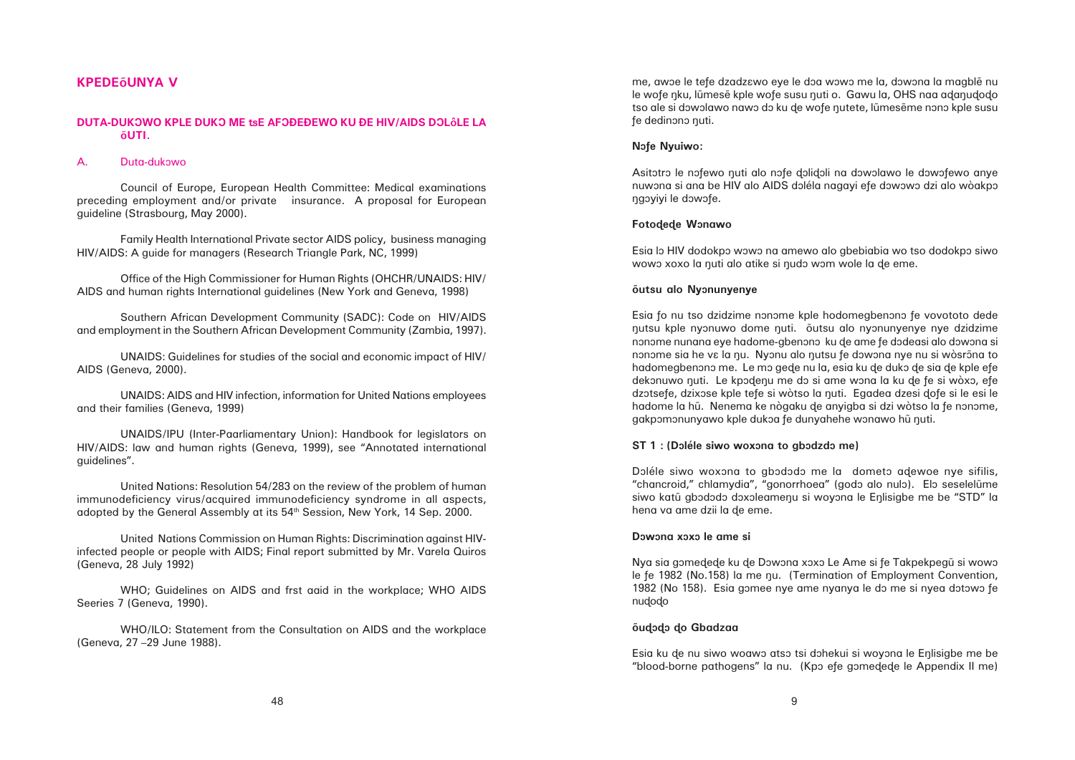### **Åutsu alo Nyônunyenye**

Esia fo nu tso dzidzime nonome kple hodomegbenono fe vovototo dede nutsu kple nyonuwo dome nuti. Õutsu alo nyonunyenye nye dzidzime nonome nunana eye hadome-gbenono ku de ame fe dodeasi alo dowona si nonome sia he va la nu. Nyonu alo nutsu fe dowona nye nu si wòsrona to hadomegbenono me. Le mo gede nu la, esia ku de duko de sia de kple efe dekonuwo nuti. Le kpodenu me do si ame wona la ku de fe si wòxo, efe dzotsefe, dzixose kple tefe si wòtso la nuti. Egadea dzesi dofe si le esi le hadome la hū. Nenema ke nògaku de anyigba si dzi wòtso la fe nonome, gakpomonunyawo kple dukoa fe dunyahehe wonawo hu nuti.

### **ST 1 : (Doléle siwo woxona to gbodzdo me)**

Doléle siwo woxona to gbododo me la dometo adewoe nye sifilis, "chancroid," chlamydia", "gonorrhoea" (godo alo nulo). Elo seselelume siwo katū gbododo doxoleamenu si woyona le Enlisigbe me be "STD" la hena va ame dzii la ðe eme.

### **Dôwôna xôxô le ame si**

Nya sia gomedede ku de Dowona xoxo Le Ame si fe Takpekpegu si wowo le fe 1982 (No.158) la me nu. (Termination of Employment Convention, 1982 (No 158). Esia gomee nye ame nyanya le do me si nyea dotowo fe nudodo

### **Åuðôðô ðo Gbadzaa**

Esia ku de nu siwo woawo atso tsi dohekui si woyona le Enlisigbe me be "blood-borne pathogens" la nu. (Kpo efe gomedede le Appendix II me)

# **KPEDEÅUNYA V**

### **DUTA-DUKÔWO KPLE DUKÔ ME ÑE AFÔÐEÐEWO KU ÐE HIV/AIDS DÔLÉLE LA ÅUTI.**

### A. Duta-dukôwo

Council of Europe, European Health Committee: Medical examinations preceding employment and/or private insurance. A proposal for European guideline (Strasbourg, May 2000).

Family Health International Private sector AIDS policy, business managing HIV/AIDS: A guide for managers (Research Triangle Park, NC, 1999)

Office of the High Commissioner for Human Rights (OHCHR/UNAIDS: HIV/ AIDS and human rights International guidelines (New York and Geneva, 1998)

Southern African Development Community (SADC): Code on HIV/AIDS and employment in the Southern African Development Community (Zambia, 1997).

UNAIDS: Guidelines for studies of the social and economic impact of HIV/ AIDS (Geneva, 2000).

UNAIDS: AIDS and HIV infection, information for United Nations employees and their families (Geneva, 1999)

UNAIDS/IPU (Inter-Paarliamentary Union): Handbook for legislators on HIV/AIDS: law and human rights (Geneva, 1999), see "Annotated international guidelines".

United Nations: Resolution 54/283 on the review of the problem of human immunodeficiency virus/acquired immunodeficiency syndrome in all aspects, adopted by the General Assembly at its 54th Session, New York, 14 Sep. 2000.

United Nations Commission on Human Rights: Discrimination against HIVinfected people or people with AIDS; Final report submitted by Mr. Varela Quiros (Geneva, 28 July 1992)

WHO; Guidelines on AIDS and frst aaid in the workplace; WHO AIDS Seeries 7 (Geneva, 1990).

WHO/ILO: Statement from the Consultation on AIDS and the workplace (Geneva, 27 –29 June 1988).

me, awoe le tefe dzadz $\epsilon$ wo eye le doa wowo me la, dowona la magble nu le wofe nku, lūmesẽ kple wofe susu nuti o. Gawu la, OHS naa adanudodo tso ale si dowolawo nawo do ku de wofe nutete, lũmesẽme nono kple susu fe dedinono nuti.

### **Nofe Nyuiwo:**

Asitotro le nofewo nuti alo nofe dolidoli na dowolawo le dowofewo anye nuwona si ana be HIV alo AIDS doléla nagayi efe dowowo dzi alo wòakpo ngoyiyi le dowofe.

### **Fotodede Wonawo**

Esia lo HIV dodokpo wowo na amewo alo gbebiabia wo tso dodokpo siwo wowo xoxo la nuti alo atike si nudo wom wole la de eme.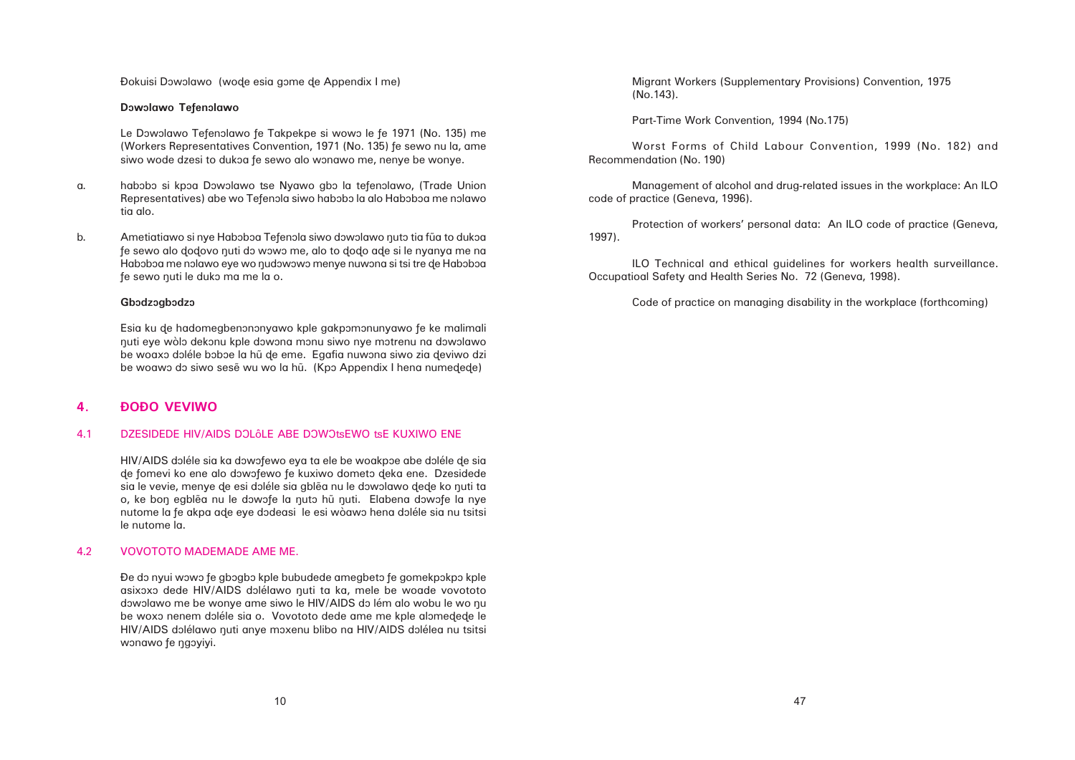Đokuisi Dowolawo (wode esia gome de Appendix I me)

### **Dôwôlawo Teñenôlawo**

Le Dowolawo Tefenolawo fe Takpekpe si wowo le fe 1971 (No. 135) me (Workers Representatives Convention, 1971 (No. 135) ñe sewo nu la, ame siwo wode dzesi to dukoa fe sewo alo wonawo me, nenye be wonye.

- a. habobo si kpoa Dowolawo tse Nyawo gbo la tefenolawo, (Trade Union Representatives) abe wo Tefenola siwo habobo la alo Haboboa me nolawo tia alo.
- b. Ametiatiawo si nye Haboboa Tefenola siwo dowolawo nuto tia fua to dukoa fe sewo alo dodovo nuti do wowo me, alo to dodo ade si le nyanya me na Haboboa me nolawo eye wo nudowowo menye nuwona si tsi tre de Haboboa fe sewo nuti le duko ma me la o.

### **Gbôdzôgbôdzô**

Esia ku de hadomegbenononyawo kple gakpomonunyawo fe ke malimali åuti eye wòlô dekônu kple dôwôna mônu siwo nye môtrenu na dôwôlawo be woaxo doléle boboe la hũ de eme. Egafia nuwona siwo zia deviwo dzi be woawo do siwo sesẽ wu wo la hũ. (Kpo Appendix I hena numedede)

HIV/AIDS doléle sia ka dowofewo eya ta ele be woakpoe abe doléle de sia de fomevi ko ene alo dowofewo fe kuxiwo dometo deka ene. Dzesidede sia le vevie, menye de esi doléle sia gblea nu le dowolawo dede ko nuti ta o, ke bon egblẽa nu le dowofe la nuto hũ nuti. Elabena dowofe la nye nutome la fe akpa ade eye dodeasi le esi wòawo hena doléle sia nu tsitsi le nutome la.

# **4. ÐOÐO VEVIWO**

### 4.1 DZESIDEDE HIV/AIDS DOLÔLE ABE DOWOtsEWO tsE KUXIWO ENE

### 4.2 VOVOTOTO MADEMADE AME ME.

Đe do nyui wowo fe gbogbo kple bubudede amegbeto fe gomekpokpo kple asixoxo dede HIV/AIDS dolélawo nuti ta ka, mele be woade vovototo dowolawo me be wonye ame siwo le HIV/AIDS do lém alo wobu le wo nu be woxo nenem doléle sia o. Vovototo dede ame me kple alomedede le HIV/AIDS dolélawo nuti anye moxenu blibo na HIV/AIDS dolélea nu tsitsi wonawo fe ngoyiyi.

Migrant Workers (Supplementary Provisions) Convention, 1975 (No.143).

Part-Time Work Convention, 1994 (No.175)

Worst Forms of Child Labour Convention, 1999 (No. 182) and Recommendation (No. 190)

Management of alcohol and drug-related issues in the workplace: An ILO code of practice (Geneva, 1996).

Protection of workers' personal data: An ILO code of practice (Geneva, 1997).

ILO Technical and ethical guidelines for workers health surveillance. Occupatioal Safety and Health Series No. 72 (Geneva, 1998).

Code of practice on managing disability in the workplace (forthcoming)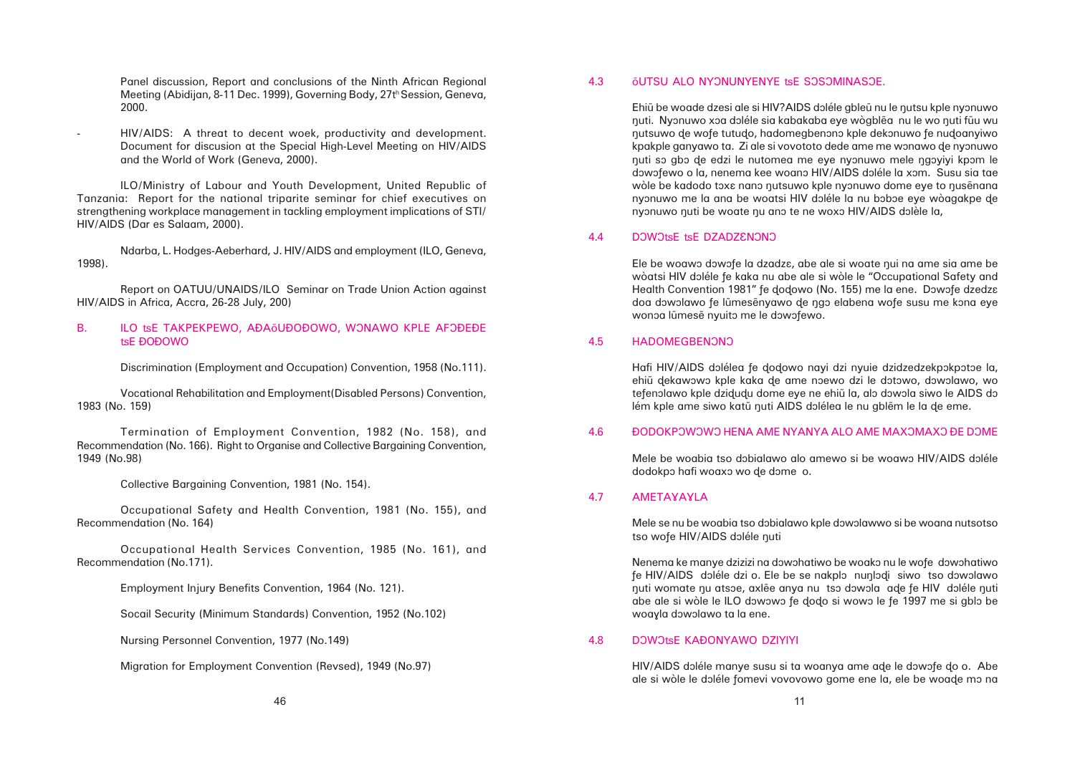4.6 DODOKPOWOWO HENA AME NYANYA ALO AME MAXOMAXO ĐE DOME

Panel discussion, Report and conclusions of the Ninth African Regional Meeting (Abidijan, 8-11 Dec. 1999), Governing Body, 27th Session, Geneva, 2000.

 HIV/AIDS: A threat to decent woek, productivity and development. Document for discusion at the Special High-Level Meeting on HIV/AIDS and the World of Work (Geneva, 2000).

ILO/Ministry of Labour and Youth Development, United Republic of Tanzania: Report for the national triparite seminar for chief executives on strengthening workplace management in tackling employment implications of STI/ HIV/AIDS (Dar es Salaam, 2000).

Ndarba, L. Hodges-Aeberhard, J. HIV/AIDS and employment (ILO, Geneva, 1998).

Report on OATUU/UNAIDS/ILO Seminar on Trade Union Action against HIV/AIDS in Africa, Accra, 26-28 July, 200)

### B. ILO tse TAKPEKPEWO, AÐAÕUÐOĐOWO, WONAWO KPLE AFOĐEĐE tsE ĐOĐOWO

Discrimination (Employment and Occupation) Convention, 1958 (No.111).

Vocational Rehabilitation and Employment(Disabled Persons) Convention, 1983 (No. 159)

Termination of Employment Convention, 1982 (No. 158), and Recommendation (No. 166). Right to Organise and Collective Bargaining Convention, 1949 (No.98)

Collective Bargaining Convention, 1981 (No. 154).

Occupational Safety and Health Convention, 1981 (No. 155), and Recommendation (No. 164)

Occupational Health Services Convention, 1985 (No. 161), and Recommendation (No.171).

Employment Injury Benefits Convention, 1964 (No. 121).

Socail Security (Minimum Standards) Convention, 1952 (No.102)

Nursing Personnel Convention, 1977 (No.149)

Migration for Employment Convention (Revsed), 1949 (No.97)

# 4.3 **ÓUTSU ALO NYONUNYENYE tSE SOSOMINASOE.**

Ehiũ be woade dzesi ale si HIV?AIDS doléle gbleũ nu le nutsu kple nyonuwo nuti. Nyonuwo xoa doléle sia kabakaba eye wògblẽa nu le wo nuti fũu wu nutsuwo de wofe tutudo, hadomegbenono kple dekonuwo fe nudoanyiwo kpakple ganyawo ta. Zi ale si vovototo dede ame me wonawo de nyônuwo nuti so gbo de edzi le nutomea me eye nyonuwo mele ngoyiyi kpom le dowofewo o la, nenema kee woano HIV/AIDS doléle la xom. Susu sia tae wòle be kadodo toxa nano nutsuwo kple nyonuwo dome eye to nusenana nyonuwo me la ana be woatsi HIV doléle la nu boboe eye wòagakpe de nyonuwo nuti be woate nu ano te ne woxo HIV/AIDS dolèle la,

### 4.4 DOWOtsE tsE DZADZENONO

Ele be woawo dowofe la dzadza, abe ale si woate nui na ame sia ame be wòatsi HIV doléle fe kaka nu abe ale si wòle le "Occupational Safety and Health Convention 1981" fe dodowo (No. 155) me la ene. Dowofe dzedza doa dowolawo fe lũmesẽnyawo de ngo elabena wofe susu me kona eye wonoa lũmesẽ nyuito me le dowofewo.

### 4.5 HADOMEGBENONO

Hafi HIV/AIDS dolélea fe dodowo nayi dzi nyuie dzidzedzekpokpotoe la, ehiũ dekawowo kple kaka de ame noewo dzi le dotowo, dowolawo, wo tefenolawo kple dzidudu dome eye ne ehiũ la, alo dowola siwo le AIDS do lém kple ame siwo katū nuti AIDS dolélea le nu gblem le la de eme.

Mele be woabia tso dobialawo alo amewo si be woawo HIV/AIDS doléle dodokpo hafi woaxo wo de dome o.

### 4.7 AMETAYAYLA

Mele se nu be woabia tso dobialawo kple dowolawwo si be woana nutsotso tso wofe HIV/AIDS doléle nuti

Nenema ke manye dzizizi na dowohatiwo be woako nu le wofe dowohatiwo fe HIV/AIDS doléle dzi o. Ele be se nakplo nunlodi siwo tso dowolawo nuti womate nu atsoe, axlẽe anya nu tso dowola ade fe HIV doléle nuti abe ale si wòle le ILO dowowo fe dodo si wowo le fe 1997 me si gblo be woayla dowolawo ta la ene.

# 4.8 DOWOtsE KAÐONYAWO DZIYIYI

HIV/AIDS doléle manye susu si ta woanya ame ade le dowofe do o. Abe ale si wòle le doléle fomevi vovovowo gome ene la, ele be woade mo na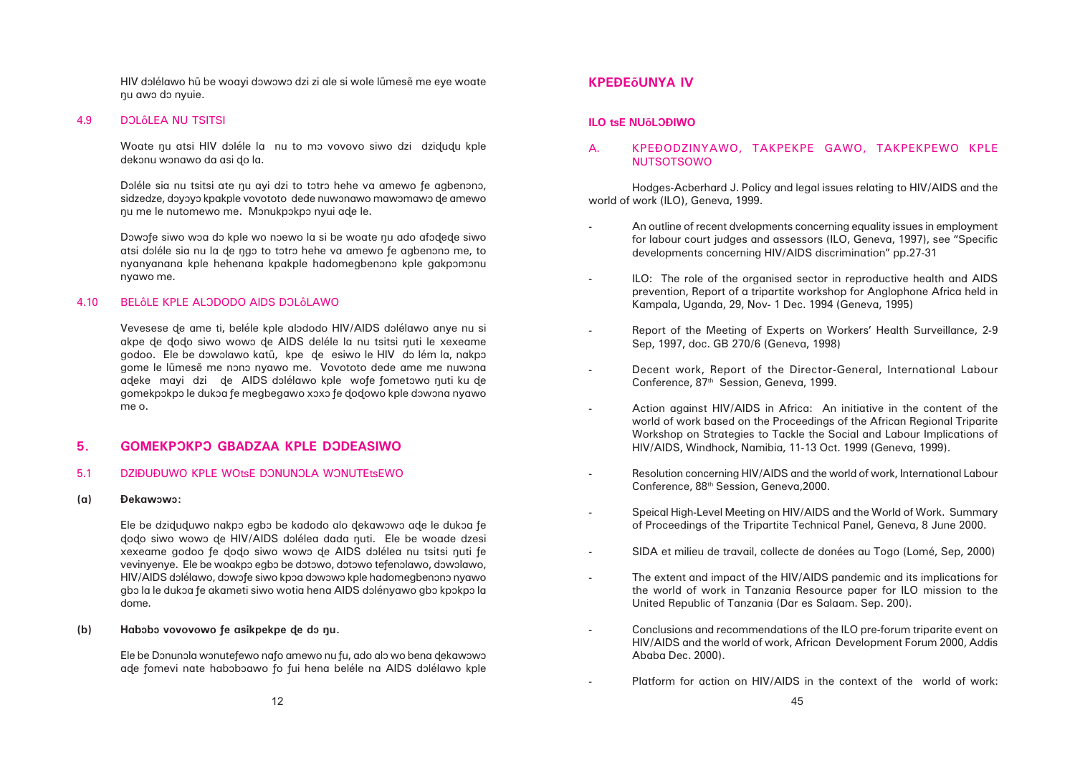HIV dolélawo hũ be woayi dowowo dzi zi ale si wole lũmesẽ me eye woate nu awo do nyuie.

### 4.9 DOLÔLEA NU TSITSI

Woate nu atsi HIV doléle la nu to mo vovovo siwo dzi dzidudu kple dekonu wonawo da asi do la.

Doléle sia nu tsitsi ate nu ayi dzi to totro hehe va amewo fe agbenono, sidzedze, doyoyo kpakple vovototo dede nuwonawo mawomawo de amewo nu me le nutomewo me. Monukpokpo nyui ade le.

Dowofe siwo woa do kple wo noewo la si be woate nu ado afodede siwo atsi doléle sia nu la de ngo to totro hehe va amewo fe agbenono me, to nyanyanana kple hehenana kpakple hadomegbenono kple gakpomonu nyawo me.

### 4.10 BELÔLE KPLE ALODODO AIDS DOLÔLAWO

Vevesese de ame ti, beléle kple alododo HIV/AIDS dolélawo anye nu si akpe de dodo siwo wowo de AIDS deléle la nu tsitsi nuti le xexeame godoo. Ele be dowolawo katū, kpe de esiwo le HIV do lém la, nakpo gome le lũmesẽ me nono nyawo me. Vovototo dede ame me nuwona adeke mayi dzi de AIDS dolélawo kple wofe fometowo nuti ku de gomekpôkpô le dukôa ñe megbegawo xôxô ñe ðoðowo kple dôwôna nyawo me o.

Ele be dziduduwo nakpo egbo be kadodo alo dekawowo ade le dukoa fe dodo siwo wowo de HIV/AIDS dolélea dada nuti. Ele be woade dzesi xexeame godoo fe dodo siwo wowo de AIDS dolélea nu tsitsi nuti fe vevinyenye. Ele be woakpo egbo be dotowo, dotowo tefenolawo, dowolawo, HIV/AIDS dolélawo, dowofe siwo kpoa dowowo kple hadomegbenono nyawo gbo la le dukoa fe akameti siwo wotia hena AIDS dolényawo gbo kpokpo la dome.

### (b) Habobo vovovowo fe asikpekpe de do nu.

Ele be Donunola wonutefewo nafo amewo nu fu, ado alo wo bena dekawowo ade fomevi nate haboboawo fo fui hena beléle na AIDS dolélawo kple

# **5. GOMEKPÔKPÔ GBADZAA KPLE DÔDEASIWO**

### 5.1 DZIĐUĐUWO KPLE WOtsE DONUNOLA WONUTEtsEWO

### **(a) Ðekawôwô:**

# **KPEÐEÅUNYA IV**

### **ILO tsE NU<sub>Õ</sub>LOĐIWO**

# A. KPEÐODZINYAWO, TAKPEKPE GAWO, TAKPEKPEWO KPLE NUTSOTSOWO

Hodges-Acberhard J. Policy and legal issues relating to HIV/AIDS and the world of work (ILO), Geneva, 1999.

> An outline of recent dvelopments concerning equality issues in employment for labour court judges and assessors (ILO, Geneva, 1997), see "Specific

> ILO: The role of the organised sector in reproductive health and AIDS prevention, Report of a tripartite workshop for Anglophone Africa held in

> Report of the Meeting of Experts on Workers' Health Surveillance, 2-9

world of work based on the Proceedings of the African Regional Triparite Workshop on Strategies to Tackle the Social and Labour Implications of

- developments concerning HIV/AIDS discrimination" pp.27-31
- Kampala, Uganda, 29, Nov- 1 Dec. 1994 (Geneva, 1995)
- -Sep, 1997, doc. GB 270/6 (Geneva, 1998)
- Decent work, Report of the Director-General, International Labour Conference, 87<sup>th</sup> Session, Geneva, 1999.
- Action against HIV/AIDS in Africa: An initiative in the content of the HIV/AIDS, Windhock, Namibia, 11-13 Oct. 1999 (Geneva, 1999).
- Conference, 88th Session, Geneva,2000.
- Speical High-Level Meeting on HIV/AIDS and the World of Work. Summary of Proceedings of the Tripartite Technical Panel, Geneva, 8 June 2000.
- 
- The extent and impact of the HIV/AIDS pandemic and its implications for United Republic of Tanzania (Dar es Salaam. Sep. 200).
- Conclusions and recommendations of the ILO pre-forum triparite event on Ababa Dec. 2000).
	- Platform for action on HIV/AIDS in the context of the world of work:

Resolution concerning HIV/AIDS and the world of work, International Labour

SIDA et milieu de travail, collecte de donées au Togo (Lomé, Sep, 2000)

the world of work in Tanzania Resource paper for ILO mission to the

HIV/AIDS and the world of work, African Development Forum 2000, Addis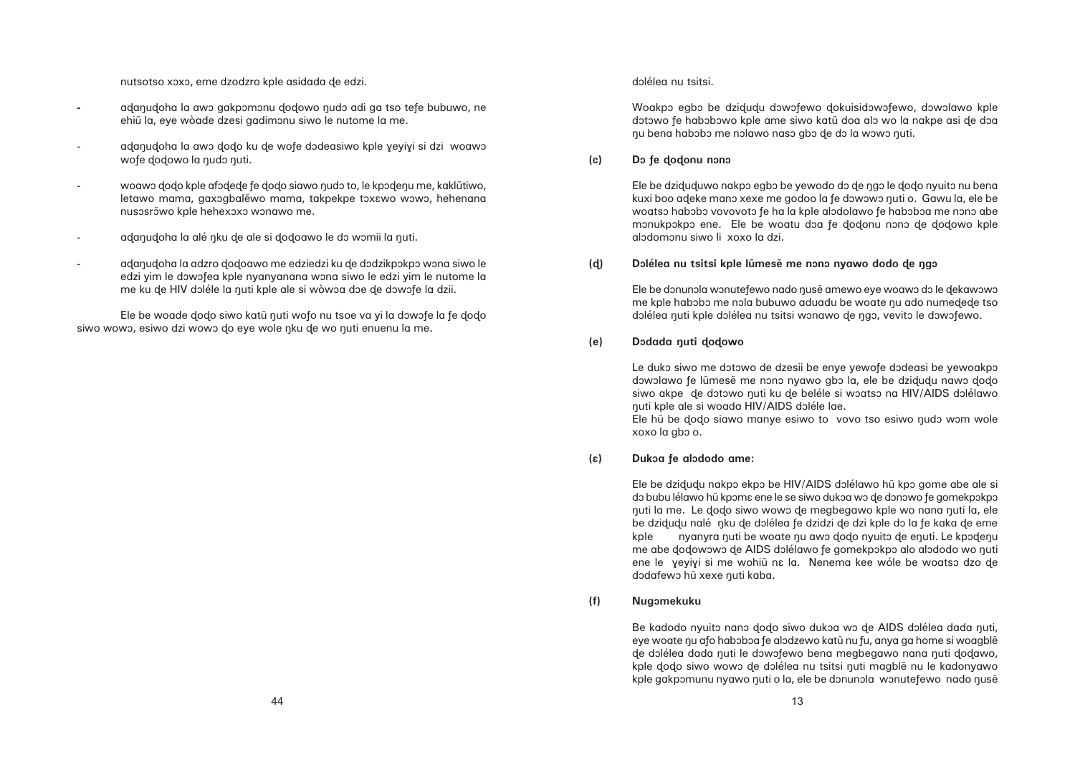dôlélea nu tsitsi.

Woakpo egbo be dzidudu dowofewo dokuisidowofewo, dowolawo kple dotowo fe habobowo kple ame siwo katū doa alo wo la nakpe asi de doa nu bena habobo me nolawo naso gbo de do la wowo nuti.

**(c) Dô ñe ðoðonu nônô**

Ele be dziduduwo nakpo egbo be yewodo do de ngo le dodo nyuito nu bena kuxi boo adeke mano xexe me godoo la fe dowowo nuti o. Gawu la, ele be woatso habobo vovovoto fe ha la kple alodolawo fe haboboa me nono abe monukpokpo ene. Ele be woatu doa fe dodonu nono de dodowo kple alôdomônu siwo li xoxo la dzi.

# (d) **Dolélea nu tsitsi kple lũmesẽ me nono nyawo dodo de ngo**

Ele be donunola wonutefewo nado nusẽ amewo eye woawo do le dekawowo me kple habobo me nola bubuwo aduadu be woate nu ado numedede tso dolélea nuti kple dolélea nu tsitsi wonawo de ngo, vevito le dowofewo.

**(e) Dôdada åuti ðoðowo**

Le duko siwo me dotowo de dzesii be enye yewofe dodeasi be yewoakpo dowolawo fe lūmesẽ me nono nyawo gbo la, ele be dzidudu nawo dodo siwo akpe de dotowo nuti ku de beléle si woatso na HIV/AIDS dolélawo åuti kple ale si woada HIV/AIDS dôléle lae. Ele hũ be dodo siawo manye esiwo to vovo tso esiwo nudo wom wole xoxo la gbo o.

nutsotso xoxo, eme dzodzro kple asidada de edzi.

- adanudoha la awo gakpomonu dodowo nudo adi ga tso tefe bubuwo, ne ehi $\tilde{u}$  la, eye wòade dzesi gadimonu siwo le nutome la me.
- adanudoha la awo dodo ku de wofe dodeasiwo kple yeyiyi si dzi woawo wofe dodowo la nudo nuti.
- woawo dodo kple afodede fe dodo siawo nudo to, le kpodenu me, kaklūtiwo, letawo mama, gaxogbalewo mama, takpekpe toxawo wowo, hehenana nusosrõwo kple hehexoxo wonawo me.
- adanudoha la alé nku de ale si dodoawo le do womii la nuti.
- adanudoha la adzro dodoawo me edziedzi ku de dodzikpokpo wona siwo le edzi yim le dowofea kple nyanyanana wona siwo le edzi yim le nutome la me ku de HIV doléle la nuti kple ale si wòwoa doe de dowofe la dzii.

Ele be woade dodo siwo katū nuti wofo nu tsoe va yi la dowofe la fe dodo siwo wowo, esiwo dzi wowo do eye wole nku de wo nuti enuenu la me.

**(â) Dukôa ñe alôdodo ame:**

Ele be dzidudu nakpo ekpo be HIV/AIDS dolélawo hū kpo gome abe ale si do bubu lélawo hũ kpoma ene le se siwo dukoa wo de donowo fe gomekpokpo nuti la me. Le dodo siwo wowo de megbegawo kple wo nana nuti la, ele be dzidudu nalé nku de dolélea fe dzidzi de dzi kple do la fe kaka de eme kple nyanyra nuti be woate nu awo dodo nyuito de enuti. Le kpodenu me abe dodowowo de AIDS dolélawo fe gomekpokpo alo alododo wo nuti ene le yeyiyi si me wohiũ na la. Nenema kee wóle be woatso dzo de dodafewo hũ xexe nuti kaba.

**(f) Nugômekuku**

Be kadodo nyuito nano dodo siwo dukoa wo de AIDS dolélea dada nuti, eye woate nu afo haboboa fe alodzewo katų nu fu, anya ga home si woagblė de dolélea dada nuti le dowofewo bena megbegawo nana nuti dodawo, kple dodo siwo wowo de dolélea nu tsitsi nuti magble nu le kadonyawo kple gakpomunu nyawo nuti o la, ele be donunola wonutefewo nado nuse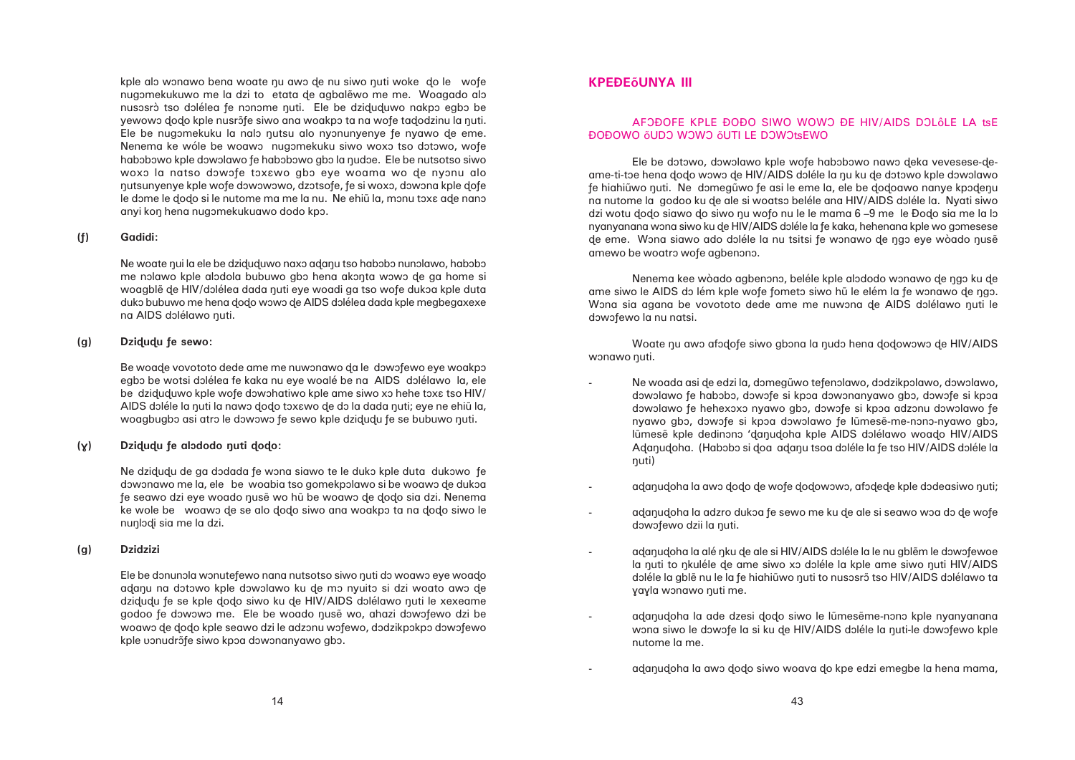kple alo wonawo bena woate nu awo de nu siwo nuti woke do le wofe nugomekukuwo me la dzi to etata de agbalewo me me. Woagado alo nusosrò tso dolélea fe nonome nuti. Ele be dziduduwo nakpo egbo be yewowo dodo kple nusrõfe siwo ana woakpo ta na wofe tadodzinu la nuti. Ele be nugomekuku la nalo nutsu alo nyonunyenye fe nyawo de eme. Nenema ke wóle be woawo nugomekuku siwo woxo tso dotowo, wofe habobowo kple dowolawo fe habobowo gbo la nudoe. Ele be nutsotso siwo woxo la natso dowofe toxawo gbo eye woama wo de nyonu alo nutsunyenye kple wofe dowowowo, dzotsofe, fe si woxo, dowona kple dofe le dome le dodo si le nutome ma me la nu. Ne ehiũ la, monu toxe ade nano anyi kon hena nugomekukuawo dodo kpo.

### **(ñ) Gadidi:**

Ne woate nui la ele be dziduduwo naxo adanu tso habobo nunolawo, habobo me nolawo kple alodola bubuwo gbo hena akonta wowo de ga home si woagblẽ de HIV/dolélea dada nuti eye woadi ga tso wofe dukoa kple duta duko bubuwo me hena dodo wowo de AIDS dolélea dada kple megbegaxexe na AIDS dolélawo nuti.

### **(g) Dziðuðu ñe sewo:**

Be woade vovototo dede ame me nuwonawo da le dowofewo eye woakpo egbo be wotsi dolélea fe kaka nu eye woalé be na AIDS dolélawo la, ele be dziduduwo kple wofe dowohatiwo kple ame siwo xo hehe toxa tso HIV/ AIDS doléle la nuti la nawo dodo toxawo de do la dada nuti; eye ne ehiu la, woagbugbo asi atro le dowowo fe sewo kple dzidudu fe se bubuwo nuti.

### **(ê) Dziðuðu ñe alôdodo åuti ðoðo:**

Ne dzidudu de ga dodada fe wona siawo te le duko kple duta dukowo fe dowonawo me la, ele be woabia tso gomekpolawo si be woawo de dukoa fe seawo dzi eye woado nusẽ wo hũ be woawo de dodo sia dzi. Nenema ke wole be woawo de se alo dodo siwo ana woakpo ta na dodo siwo le nunlodi sia me la dzi.

### **(g) Dzidzizi**

Ele be donunola wonutefewo nana nutsotso siwo nuti do woawo eye woado adanu na dotowo kple dowolawo ku de mo nyuito si dzi woato awo de dzidudu fe se kple dodo siwo ku de HIV/AIDS dolélawo nuti le xexeame godoo fe dowowo me. Ele be woado nusẽ wo, ahazi dowofewo dzi be woawo de dodo kple seawo dzi le adzonu wofewo, dodzikpokpo dowofewo kple vonudrõfe siwo kpoa dowonanyawo gbo.

- yayla wonawo nuti me.
- nutome la me.
- 

Ne woada asi de edzi la, domegũwo tefenolawo, dodzikpolawo, dowolawo, dowolawo fe habobo, dowofe si kpoa dowonanyawo gbo, dowofe si kpoa dowolawo fe hehexoxo nyawo gbo, dowofe si kpoa adzonu dowolawo fe nyawo gbo, dowofe si kpoa dowolawo fe lũmesẽ-me-nono-nyawo gbo, lūmesē kple dedinono 'danudoha kple AIDS dolélawo woado HIV/AIDS Adanudoha. (Habobo si doa adanu tsoa doléle la fe tso HIV/AIDS doléle la

adanudoha la awo dodo de wofe dodowowo, afodede kple dodeasiwo nuti;

adanudoha la adzro dukoa fe sewo me ku de ale si seawo woa do de wofe

adanudoha la alé nku de ale si HIV/AIDS doléle la le nu gblem le dowofewoe la nuti to nkuléle de ame siwo xo doléle la kple ame siwo nuti HIV/AIDS doléle la gble nu le la fe hiahiũwo nuti to nusosrõ tso HIV/AIDS dolélawo ta

adanudoha la ade dzesi dodo siwo le lũmesẽme-nono kple nyanyanana wona siwo le dowofe la si ku de HIV/AIDS doléle la nuti-le dowofewo kple

adanudoha la awo dodo siwo woava do kpe edzi emegbe la hena mama,

# **KPEÐEÅUNYA III**

# AFOÐOFE KPLE ĐOĐO SIWO WOWO ĐE HIV/AIDS DOLÔLE LA tsE ĐOĐOWO ÕUDO WOWO ÕUTI LE DOWOtsEWO

Ele be dotowo, dowolawo kple wofe habobowo nawo deka vevesese-deame-ti-toe hena dodo wowo de HIV/AIDS doléle la nu ku de dotowo kple dowolawo fe hiahiũwo nuti. Ne domegũwo fe asi le eme la, ele be dodoawo nanye kpodenu na nutome la godoo ku de ale si woatso beléle ana HIV/AIDS doléle la. Nyati siwo dzi wotu dodo siawo do siwo nu wofo nu le le mama 6 –9 me le Đodo sia me la lo nyanyanana wona siwo ku de HIV/AIDS doléle la fe kaka, hehenana kple wo gomesese de eme. Wona siawo ado doléle la nu tsitsi fe wonawo de ngo eye wòado nusẽ amewo be woatro wofe agbenono.

Nenema kee wòado agbenono, beléle kple alododo wonawo de ngo ku de ame siwo le AIDS do lém kple wofe fometo siwo hũ le elém la fe wonawo de ngo. Wona sia agana be vovototo dede ame me nuwona de AIDS dolélawo nuti le dowofewo la nu natsi.

Woate nu awo afodofe siwo gbona la nudo hena dodowowo de HIV/AIDS wonawo nuti.

- nuti)
- 
- dowofewo dzii la nuti.

-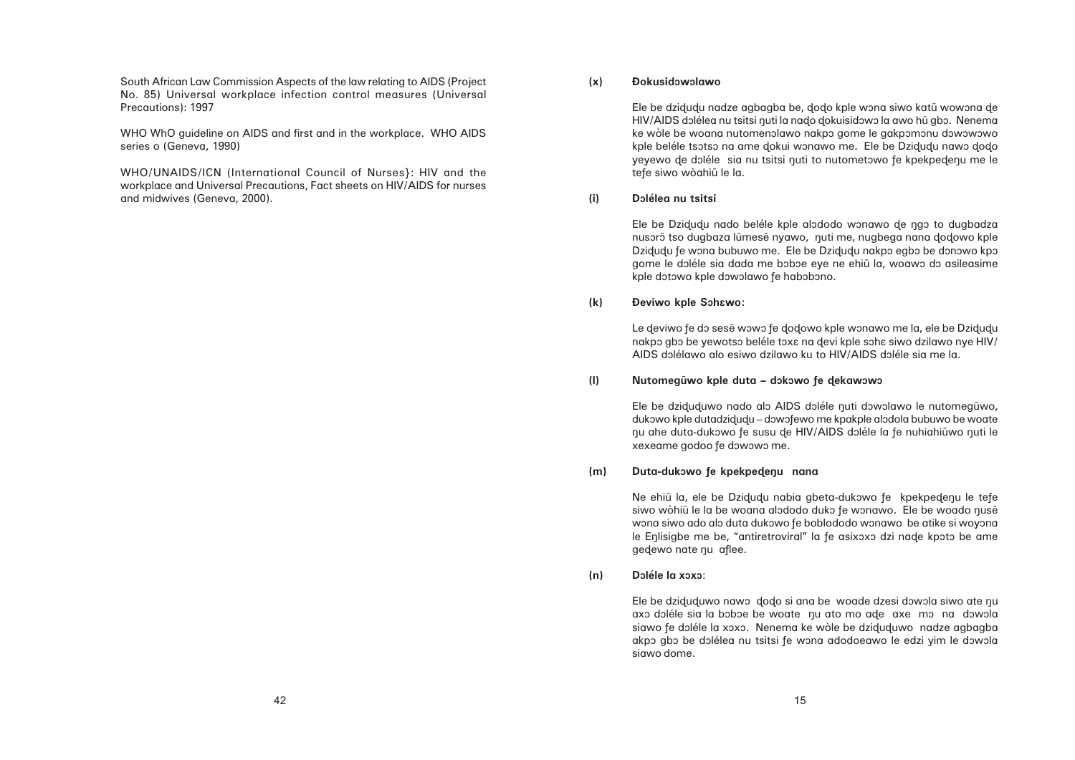### **(x) Ðokusidôwôlawo**

Ele be dzidudu nadze agbagba be, dodo kple wona siwo katū wowona de HIV/AIDS dolélea nu tsitsi nuti la nado dokuisidowo la awo hū gbo. Nenema ke wòle be woana nutomenolawo nakpo gome le gakpomonu dowowowo kple beléle tsotso na ame dokui wonawo me. Ele be Dzidudu nawo dodo yeyewo de doléle sia nu tsitsi nuti to nutometowo fe kpekpedenu me le tefe siwo wòahiũ le la.

### **(i) Dôlélea nu tsitsi**

Ele be Dzidudu nado beléle kple alododo wonawo de ngo to dugbadza nusorõ tso dugbaza lũmesẽ nyawo, nuti me, nugbega nana dodowo kple Dzidudu fe wona bubuwo me. Ele be Dzidudu nakpo egbo be donowo kpo gome le doléle sia dada me boboe eye ne ehiũ la, woawo do asileasime kple dotowo kple dowolawo fe habobono.

Le deviwo fe do sesẽ wowo fe dodowo kple wonawo me la, ele be Dzidudu nakpo gbo be yewotso beléle toxa na devi kple soha siwo dzilawo nye HIV/ AIDS dôlélawo alo esiwo dzilawo ku to HIV/AIDS dôléle sia me la.

# (I) **Nutomegũwo kple duta – dokowo fe dekawowo**

Ele be dziduduwo nado alo AIDS doléle nuti dowolawo le nutomegūwo, dukowo kple dutadzidudu – dowofewo me kpakple alodola bubuwo be woate nu ahe duta-dukowo fe susu de HIV/AIDS doléle la fe nuhiahiūwo nuti le xexeame godoo fe dowowo me.

### **(k) Ðeviwo kple Sôhâwo:**

Ele be dziduduwo nawo dodo si ana be woade dzesi dowola siwo ate nu axo doléle sia la boboe be woate nu ato mo ade axe mo na dowola siawo fe doléle la xoxo. Nenema ke wòle be dziduduwo nadze agbagba akpo gbo be dolélea nu tsitsi fe wona adodoeawo le edzi yim le dowola siawo dome.

### **(m) Duta-dukôwo ñe kpekpeðeåu nana**

Ne ehiu la, ele be Dzidudu nabia gbeta-dukowo fe kpekpedenu le tefe siwo wòhiũ le la be woana alododo duko fe wonawo. Ele be woado nusẽ wona siwo ado alo duta dukowo fe boblododo wonawo be atike si woyona le Enlisigbe me be, "antiretroviral" la fe asixoxo dzi nade kpoto be ame gedewo nate nu aflee.

**(n) Dôléle la xôxô**:

South African Law Commission Aspects of the law relating to AIDS (Project No. 85) Universal workplace infection control measures (Universal Precautions): 1997

WHO WhO guideline on AIDS and first and in the workplace. WHO AIDS series o (Geneva, 1990)

WHO/UNAIDS/ICN (International Council of Nurses}: HIV and the workplace and Universal Precautions, Fact sheets on HIV/AIDS for nurses and midwives (Geneva, 2000).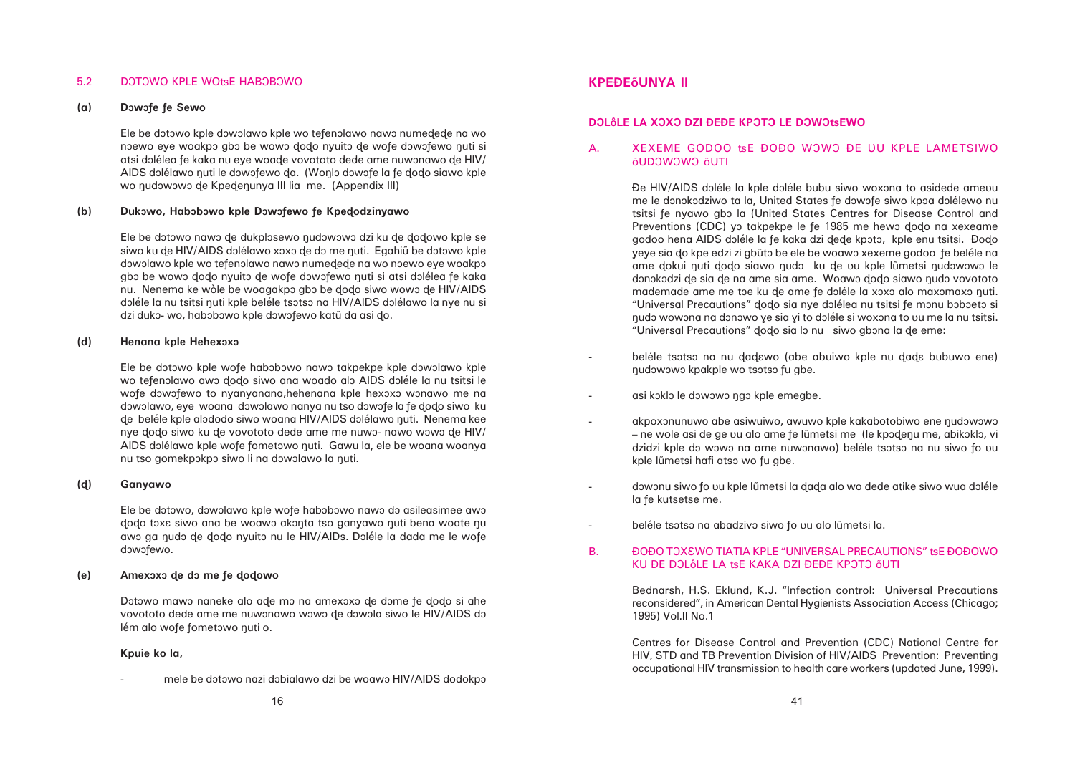beléle tsotso na nu dadawo (abe abuiwo kple nu dada bubuwo ene)

akpoxonunuwo abe asiwuiwo, awuwo kple kakabotobiwo ene nudowowo – ne wole asi de ge uu alo ame fe lũmetsi me (le kpodenu me, abikoklo, vi dzidzi kple do wowo na ame nuwonawo) beléle tsotso na nu siwo fo uu

dowonu siwo fo uu kple lūmetsi la dada alo wo dede atike siwo wua doléle

# B. ÐOÐO TOXEWO TIATIA KPLE "UNIVERSAL PRECAUTIONS" t $sE$  ĐOĐOWO

### 5.2 DOTOWO KPLE WOtsE HABOBOWO

### **(a) Dôwôñe ñe Sewo**

Ele be dotowo kple dowolawo kple wo tefenolawo nawo numedede na wo noewo eye woakpô gbô be wowo dodo nyuitô de wofe dôwôfewo nuti si atsi dolélea fe kaka nu eye woade vovototo dede ame nuwonawo de HIV/ AIDS dolélawo nuti le dowofewo da. (Wonlo dowofe la fe dodo siawo kple wo nudowowo de Kpedenunya III lia me. (Appendix III)

### **(b) Dukôwo, Habôbôwo kple Dôwôñewo ñe Kpeðodzinyawo**

Ele be dotowo nawo de dukplosewo nudowowo dzi ku de dodowo kple se siwo ku de HIV/AIDS dolélawo xoxo de do me nuti. Egahiu be dotowo kple dowolawo kple wo tefenolawo nawo numedede na wo noewo eye woakpo gbo be wowo dodo nyuito de wofe dowofewo nuti si atsi dolélea fe kaka nu. Nenema ke wòle be woagakpo gbo be dodo siwo wowo de HIV/AIDS doléle la nu tsitsi nuti kple beléle tsotso na HIV/AIDS dolélawo la nye nu si dzi duko- wo, habobowo kple dowofewo katū da asi do.

### **(d) Henana kple Hehexôxô**

Ele be dotowo kple wofe habobowo nawo takpekpe kple dowolawo kple wo tefenolawo awo dodo siwo ana woado alo AIDS doléle la nu tsitsi le wofe dowofewo to nyanyanana,hehenana kple hexoxo wonawo me na dôwôlawo, eye woana dôwôlawo nanya nu tso dôwôfe la fe dodo siwo ku de beléle kple alododo siwo woana HIV/AIDS dolélawo nuti. Nenema kee nye dodo siwo ku de vovototo dede ame me nuwo- nawo wowo de HIV/ AIDS dolélawo kple wofe fometowo nuti. Gawu la, ele be woana woanya nu tso gomekpokpo siwo li na dowolawo la nuti.

mele be dotowo nazi dobialawo dzi be woawo HIV/AIDS dodokpo

# A. XEXEME GODOO tsE ĐOĐO WOWO ĐE UU KPLE LAMETSIWO ÅUDÔWÔWÔ ÅUTI

Đe HIV/AIDS doléle la kple doléle bubu siwo woxona to asidede amevu me le donokodziwo ta la, United States fe dowofe siwo kpoa dolélewo nu tsitsi fe nyawo gbo la (United States Centres for Disease Control and Preventions (CDC) yo takpekpe le fe 1985 me hewo dodo na xexeame godoo hena AIDS doléle la fe kaka dzi dede kpoto, kple enu tsitsi. Đodo yeye sia do kpe edzi zi gbūto be ele be woawo xexeme godoo fe beléle na ame dokui nuti dodo siawo nudo ku de vu kple lũmetsi nudowowo le donokodzi de sia de na ame sia ame. Woawo dodo siawo nudo vovototo mademade ame me toe ku de ame fe doléle la xoxo alo maxomaxo nuti. "Universal Precautions" dodo sia nye dolélea nu tsitsi fe monu boboeto si nudo wowona na donowo ye sia yi to doléle si woxona to uu me la nu tsitsi. "Universal Precautions" dodo sia lo nu siwo abona la de eme:

- nudowowo kpakple wo tsotso fu gbe.
- asi koklo le dowowo ngo kple emegbe.
- kple lūmetsi hafi atso wo fu abe.
- la fe kutsetse me.
- beléle tsotso na abadzivo siwo fo uu alo lũmetsi la.

### **(ð) Ganyawo**

Ele be dotowo, dowolawo kple wofe habobowo nawo do asileasimee awo dodo toxe siwo ana be woawo akonta tso ganyawo nuti bena woate nu awo ga nudo de dodo nyuito nu le HIV/AIDs. Doléle la dada me le wofe dowofewo.

### **(e) Amexôxô ðe dô me ñe ðoðowo**

Dotowo mawo naneke alo ade mo na amexoxo de dome fe dodo si ahe vovototo dede ame me nuwonawo wowo de dowola siwo le HIV/AIDS do lém alo wofe fometowo nuti o.

### **Kpuie ko la,**

# **KPEÐEÅUNYA II**

# **DOLÔLE LA XOXO DZI ĐEĐE KPOTO LE DOWOtSEWO**

-

KU ĐE DOLÔLE LA tsE KAKA DZI ĐEĐE KPOTO ÕUTI

Bednarsh, H.S. Eklund, K.J. "Infection control: Universal Precautions reconsidered", in American Dental Hygienists Association Access (Chicago; 1995) Vol.II No.1

Centres for Disease Control and Prevention (CDC) National Centre for HIV, STD and TB Prevention Division of HIV/AIDS Prevention: Preventing occupational HIV transmission to health care workers (updated June, 1999).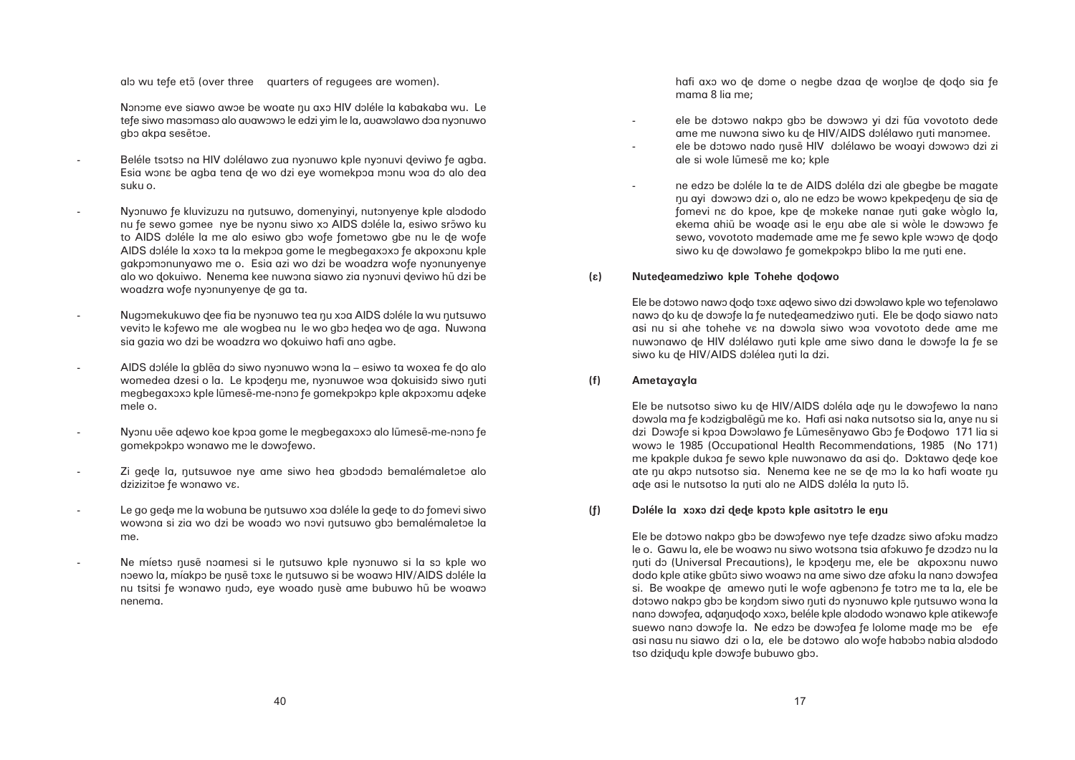alo wu tefe ető (over three quarters of regugees are women).

Nonome eve siawo awoe be woate nu axo HIV doléle la kabakaba wu. Le tefe siwo masomaso alo auawowo le edzi yim le la, auawolawo doa nyonuwo gbo akpa sesetoe.

ele be dotowo nakpo gbo be dowowo yi dzi fua vovototo dede ame me nuwona siwo ku de HIV/AIDS dolélawo nuti manomee. ele be dotowo nado nusẽ HIV dolélawo be woayi dowowo dzi zi

ne edzo be doléle la te de AIDS doléla dzi ale gbegbe be magate nu ayi dowowo dzi o, alo ne edzo be wowo kpekpedenu de sia de fomevi na do kpoe, kpe de mokeke nanae nuti gake wòglo la, ekema ahiũ be woade asi le enu abe ale si wòle le dowowo fe sewo, vovototo mademade ame me fe sewo kple wowo de dodo siwo ku de dowolawo fe gomekpokpo blibo la me nuti ene.

hafi axo wo de dome o negbe dzaa de wonloe de dodo sia fe mama 8 lia me;

- ale si wole lũmesẽ me ko; kple
- 
- **(â) Nuteðeamedziwo kple Tohehe ðoðowo**

Ele be dotowo nawo dodo toxa adewo siwo dzi dowolawo kple wo tefenolawo nawo do ku de dowofe la fe nutedeamedziwo nuti. Ele be dodo siawo nato asi nu si ahe tohehe va na dowola siwo woa vovototo dede ame me nuwonawo de HIV dolélawo nuti kple ame siwo dana le dowofe la fe se siwo ku de HIV/AIDS dolélea nuti la dzi.

**(f) Ametayayla** 

Ele be nutsotso siwo ku de HIV/AIDS doléla ade nu le dowofewo la nano dowola ma fe kodzigbalēgū me ko. Hafi asi naka nutsotso sia la, anye nu si dzi Dowofe si kpoa Dowolawo fe Lũmesẽnyawo Gbo fe Đodowo 171 lia si wowo le 1985 (Occupational Health Recommendations, 1985 (No 171) me kpakple dukoa fe sewo kple nuwonawo da asi do. Doktawo dede koe ate nu akpo nutsotso sia. Nenema kee ne se de mo la ko hafi woate nu ade asi le nutsotso la nuti alo ne AIDS doléla la nuto lõ.

**(ñ) Dôléle la xôxô dzi ðeðe kpôtô kple asitôtrô le eåu**

Ele be dotowo nakpo gbo be dowofewo nye tefe dzadza siwo afoku madzo le o. Gawu la, ele be woawo nu siwo wotsona tsia afokuwo fe dzodzo nu la nuti do (Universal Precautions), le kpodenu me, ele be akpoxonu nuwo dodo kple atike gbūto siwo woawo na ame siwo dze afoku la nano dowofea si. Be woakpe de amewo nuti le wofe agbenono fe totro me ta la, ele be dotowo nakpo gbo be kondom siwo nuti do nyonuwo kple nutsuwo wona la nano dowofea, adanudodo xoxo, beléle kple alododo wonawo kple atikewofe suewo nano dowofe la. Ne edzo be dowofea fe lolome made mo be efe asi nasu nu siawo dzi o la, ele be dotowo alo wofe habobo nabia alododo tso dzidudu kple dowofe bubuwo gbo.

- Beléle tsotso na HIV dolélawo zua nyonuwo kple nyonuvi deviwo fe agba. Esia wona be agba tena de wo dzi eye womekpoa monu woa do alo dea suku o.
- Nyonuwo fe kluvizuzu na nutsuwo, domenyinyi, nutonyenye kple alododo nu fe sewo gomee nye be nyonu siwo xo AIDS doléle la, esiwo srõwo ku to AIDS doléle la me alo esiwo gbo wofe fometowo gbe nu le de wofe AIDS doléle la xoxo ta la mekpoa gome le megbegaxoxo fe akpoxonu kple gakpomonunyawo me o. Esia azi wo dzi be woadzra wofe nyonunyenye alo wo dokuiwo. Nenema kee nuwona siawo zia nyonuvi deviwo hũ dzi be woadzra wofe nyonunyenye de ga ta.
- Nugomekukuwo dee fia be nyonuwo tea nu xoa AIDS doléle la wu nutsuwo vevito le kofewo me ale wogbea nu le wo gbo hedea wo de aga. Nuwona sia gazia wo dzi be woadzra wo dokuiwo hafi ano agbe.
- AIDS doléle la gblea do siwo nyonuwo wona la esiwo ta woxea fe do alo womedea dzesi o la. Le kpodenu me, nyonuwoe woa dokuisido siwo nuti megbegaxoxo kple lūmesē-me-nono fe gomekpokpo kple akpoxomu adeke mele o.
- Nyonu vẽe adewo koe kpôa gome le megbegaxoxô alo lũmesẽ-me-nônô fe gomekpokpo wonawo me le dowofewo.
- Zi gede la, nutsuwoe nye ame siwo hea gbododo bemalémaletoe alo dzizizitoe fe wonawo vɛ.
- Le go gede me la wobuna be nutsuwo xoa doléle la gede to do fomevi siwo wowona si zia wo dzi be woado wo novi nutsuwo gbo bemalémaletoe la me.
- Ne míetso nusẽ noamesi si le nutsuwo kple nyonuwo si la so kple wo noewo la, míakpo be nusẽ toxa le nutsuwo si be woawo HIV/AIDS doléle la nu tsitsi fe wonawo nudo, eye woado nusè ame bubuwo hu be woawo nenema.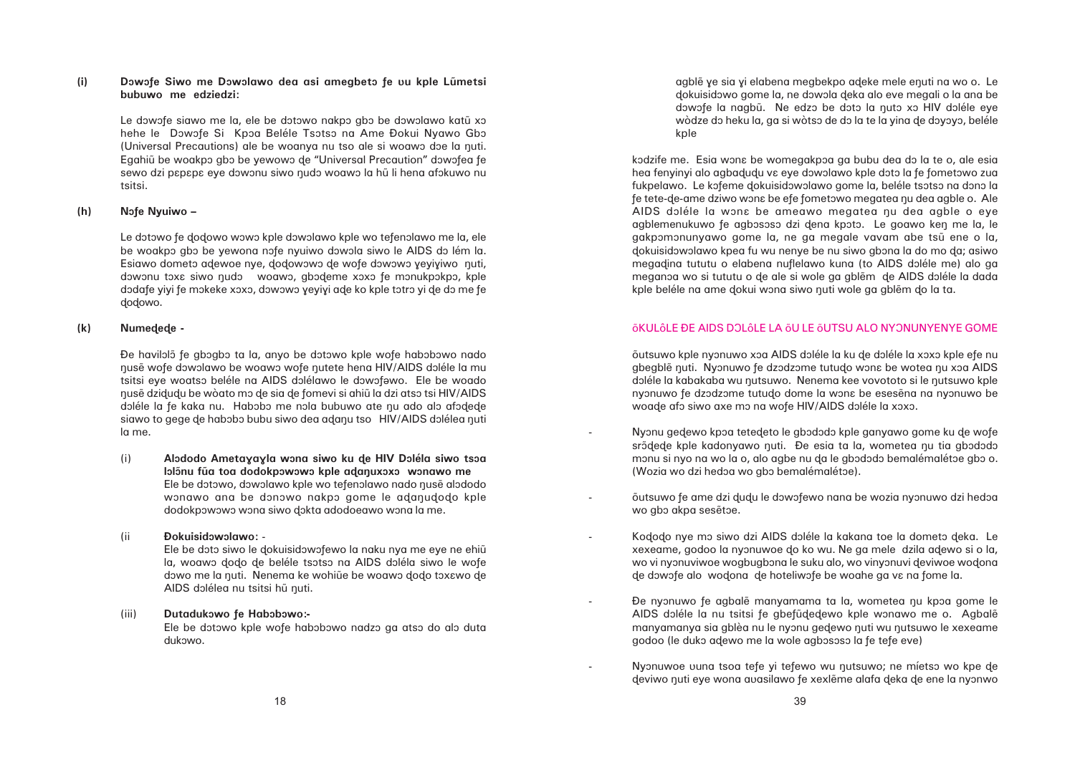# **(i) Dôwôñe Siwo me Dôwôlawo dea asi amegbetô ñe ûu kple L•metsi bubuwo me edziedzi:**

Le dowofe siawo me la, ele be dotowo nakpo gbo be dowolawo katũ xo hehe le Dowofe Si Kpoa Beléle Tsotso na Ame Đokui Nyawo Gbo (Universal Precautions) ale be woanya nu tso ale si woawo doe la nuti. Egahiũ be woakpo gbo be yewowo de "Universal Precaution" dowofea fe sewo dzi papapa eye dowonu siwo nudo woawo la hu li hena afokuwo nu tsitsi.

### **(h) Nôñe Nyuiwo –**

Le dotowo fe dodowo wowo kple dowolawo kple wo tefenolawo me la, ele be woakpo gbo be yewona nofe nyuiwo dowola siwo le AIDS do lém la. Esiawo dometo adewoe nye, dodowowo de wofe dowowo yeyiyiwo nuti, dowonu toxa siwo nudo woawo, gbodeme xoxo fe monukpokpo, kple dodafe yiyi fe mokeke xoxo, dowowo yeyiyi ade ko kple totro yi de do me fe dodowo.

Đe havilolõ fe gbogbo ta la, anyo be dotowo kple wofe habobowo nado nusẽ wofe dowolawo be woawo wofe nutete hena HIV/AIDS doléle la mu tsitsi eye woatso beléle na AIDS dolélawo le dowofawo. Ele be woado åus… dziðuðu be wòato mô ðe sia ðe ñomevi si ahi• la dzi atsô tsi HIV/AIDS doléle la fe kaka nu. Habobo me nola bubuwo ate nu ado alo afodede siawo to gege de habobo bubu siwo dea adanu tso HIV/AIDS dolélea nuti la me.

(i) **Alododo Ametayayla wona siwo ku de HIV Doléla siwo tsoa** lolõnu fũa toa dodokpowowo kple adanuxoxo wonawo me Ele be dotowo, dowolawo kple wo tefenolawo nado nusẽ alododo wonawo ana be donowo nakpo gome le adanudodo kple dodokpowowo wona siwo dokta adodoeawo wona la me.

### **(k) Numeðeðe -**

agble ye sia yi elabena megbekpo aðeke mele enuti na wo o. Le dokuisidowo gome la, ne dowola deka alo eve megali o la ana be dowofe la nagbū. Ne edzo be doto la nuto xo HIV doléle eye wòdze do heku la, ga si wòtso de do la te la yina de doyoyo, beléle kple

kodzife me. Esia wona be womegakpoa ga bubu dea do la te o, ale esia hea fenyinyi alo agbadudu va eye dowolawo kple doto la fe fometowo zua fukpelawo. Le kofeme dokuisidowolawo gome la, beléle tsotso na dono la fe tete-de-ame dziwo wona be efe fometowo megatea nu dea agble o. Ale AIDS doléle la wona be ameawo megatea nu dea agble o eye agblemenukuwo fe agbososo dzi dena kpoto. Le goawo ken me la, le gakpomonunyawo gome la, ne ga megale vavam abe tsu ene o la, dokuisidowolawo kpea fu wu nenye be nu siwo gbona la do mo da; asiwo megadina tututu o elabena nuflelawo kuna (to AIDS doléle me) alo ga meganoa wo si tututu o de ale si wole ga gblem de AIDS doléle la dada kple beléle na ame dokui wona siwo nuti wole ga gblẽm do la ta.

# **ÕKULÔLE ĐE AIDS DOLÔLE LA ÕU LE ÕUTSU ALO NYONUNYENYE GOME**

õutsuwo kple nyonuwo xoa AIDS doléle la ku de doléle la xoxo kple efe nu gbegble nuti. Nyonuwo fe dzodzome tutudo wona be wotea nu xoa AIDS doléle la kabakaba wu nutsuwo. Nenema kee vovototo si le nutsuwo kple nyonuwo fe dzodzome tutudo dome la wona be esesena na nyonuwo be woade afo siwo axe mo na wofe HIV/AIDS doléle la xoxo.

Nyonu gedewo kpoa tetedeto le gbododo kple ganyawo gome ku de wofe srõdede kple kadonyawo nuti. Đe esia ta la, wometea nu tia gbododo monu si nyo na wo la o, alo agbe nu da le gbododo bemalémalétoe gbo o. (Wozia wo dzi hedoa wo gbo bemalémalétoe).

### (ii **Ðokuisidôwôlawo:** -

Ele be doto siwo le dokuisidowofewo la naku nya me eye ne ehiũ la, woawo dodo de beléle tsotso na AIDS doléla siwo le wofe dowo me la nuti. Nenema ke wohiũe be woawo dodo tox $\epsilon$ wo de AIDS dolélea nu tsitsi hũ nuti.

### (iii) **Dutadukowo fe Habobowo:-**

Ele be dotowo kple wofe habobowo nadzo ga atso do alo duta dukowo.

-

-

-

-

õutsuwo fe ame dzi dudu le dowofewo nana be wozia nyonuwo dzi hedoa wo gbo akpa sesetoe.

Kododo nye mo siwo dzi AIDS doléle la kakana toe la dometo deka. Le xexeame, godoo la nyonuwoe do ko wu. Ne ga mele dzila adewo si o la, wo vi nyonuviwoe wogbugbona le suku alo, wo vinyonuvi deviwoe wodona de dowofe alo wodona de hoteliwofe be woahe ga va na fome la.

Đe nyonuwo fe agbale manyamama ta la, wometea nu kpoa gome le AIDS doléle la nu tsitsi fe gbefűdedewo kple wonawo me o. Agbale manyamanya sia gblèa nu le nyonu gedewo nuti wu nutsuwo le xexeame godoo (le duko adewo me la wole agbososo la fe tefe eve)

Nyonuwoe uuna tsoa tefe yi tefewo wu nutsuwo; ne míetso wo kpe de deviwo nuti eye wona avasilawo fe xexlẽme alafa deka de ene la nyonwo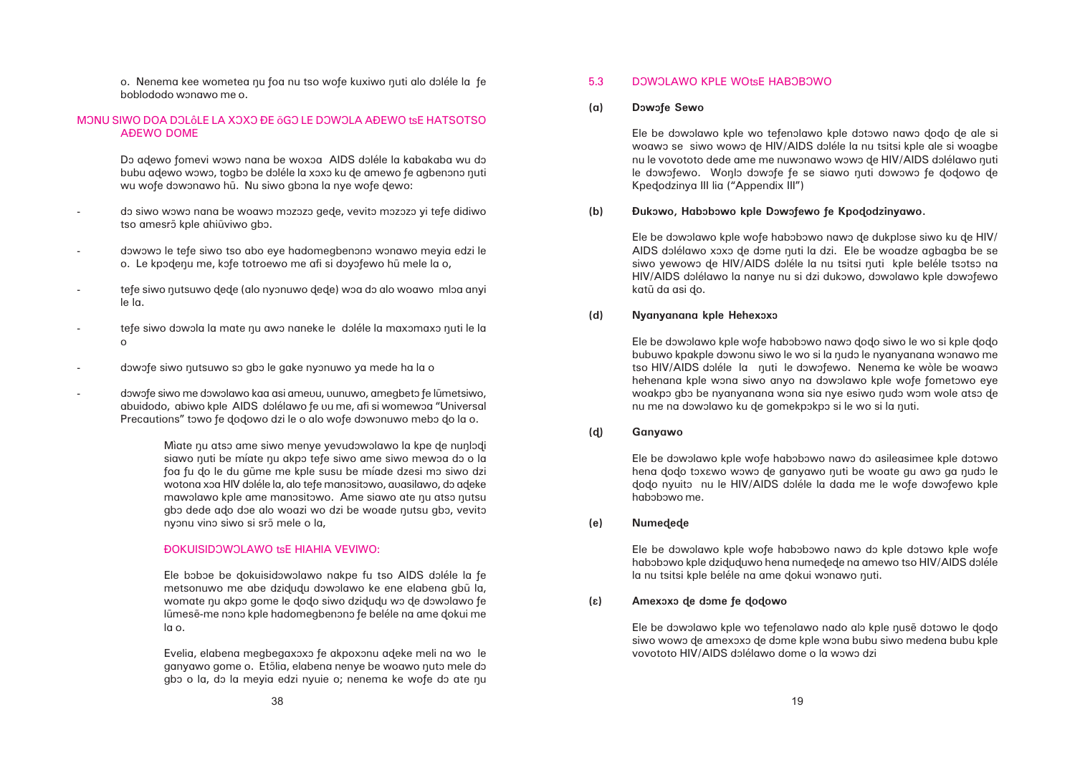### **(a) Dôwôñe Sewo**

Ele be dowolawo kple wo tefenolawo kple dotowo nawo dodo de ale si woawo se siwo wowo de HIV/AIDS doléle la nu tsitsi kple ale si woagbe nu le vovototo dede ame me nuwonawo wowo de HIV/AIDS dolélawo nuti le dowofewo. Wonlo dowofe fe se siawo nuti dowowo fe dodowo de Kpeðodzinya III lia ("Appendix III")

# **(b) Ðukôwo, Habôbôwo kple Dôwôñewo ñe Kpoðodzinyawo.**

Ele be dowolawo kple wofe habobowo nawo de dukplose siwo ku de HIV/ AIDS dolélawo xoxo de dome nuti la dzi. Ele be woadze agbagba be se siwo yewowo de HIV/AIDS doléle la nu tsitsi nuti kple beléle tsotso na HIV/AIDS dolélawo la nanye nu si dzi dukowo, dowolawo kple dowofewo katū da asi do.

### **(d) Nyanyanana kple Hehexôxô**

Ele be dowolawo kple wofe habobowo nawo dodo siwo le wo si kple dodo bubuwo kpakple dowonu siwo le wo si la nudo le nyanyanana wonawo me tso HIV/AIDS doléle la quti le dowofewo. Nenema ke wòle be woawo hehenana kple wona siwo anyo na dowolawo kple wofe fometowo eye woakpo gbo be nyanyanana wona sia nye esiwo nudo wom wole atso de nu me na dowolawo ku de gomekpokpo si le wo si la nuti.

o. Nenema kee wometea nu foa nu tso wofe kuxiwo nuti alo doléle la fe boblododo wônawo me o.

# MONU SIWO DOA DOLÔLE LA XOXO ĐE ÕGO LE DOWOLA AĐEWO tSE HATSOTSO AÐEWO DOME

Do adewo fomevi wowo nana be woxoa AIDS doléle la kabakaba wu do bubu adewo wowo, togbo be doléle la xoxo ku de amewo fe agbenono nuti wu wofe dowonawo hū. Nu siwo gbona la nye wofe dewo:

- do siwo wowo nana be woawo mozozo gede, vevito mozozo yi tefe didiwo tso amesrõ kple ahiūviwo gbo.
- dowowo le tefe siwo tso abo eye hadomegbenono wonawo meyia edzi le o. Le kpodenu me, kofe totroewo me afi si doyofewo hũ mele la o,
- tefe siwo nutsuwo dede (alo nyonuwo dede) woa do alo woawo mloa anyi le la.
- tefe siwo dowola la mate nu awo naneke le doléle la maxomaxo nuti le la o
- dowofe siwo nutsuwo so gbo le gake nyonuwo ya mede ha la o
- dowofe siwo me dowolawo kaa asi ameuu, uunuwo, amegbeto fe lũmetsiwo, abuidodo, abiwo kple AIDS dolélawo fe uu me, afi si womewoa "Universal Precautions" towo fe dodowo dzi le o alo wofe dowonuwo mebo do la o.

Mìate nu atso ame siwo menye yevudowolawo la kpe de nunlodi siawo nuti be míate nu akpo tefe siwo ame siwo mewoa do o la foa fu do le du gũme me kple susu be míade dzesi mo siwo dzi wotona xoa HIV doléle la, alo tefe manositowo, auasilawo, do adeke mawolawo kple ame manositowo. Ame siawo ate nu atso nutsu gbo dede ado doe alo woazi wo dzi be woade nutsu gbo, vevito nyonu vino siwo si srõ mele o la,

### ĐOKUISIDOWOLAWO tsE HIAHIA VEVIWO:

### **(ð) Ganyawo**

Ele be dowolawo kple wofe habobowo nawo do asileasimee kple dotowo hena dodo toxawo wowo de ganyawo nuti be woate gu awo ga nudo le dodo nyuito nu le HIV/AIDS doléle la dada me le wofe dowofewo kple habobowo me.

### **(e) Numeðeðe**

Ele be dowolawo kple wofe habobowo nawo do kple dotowo kple wofe habobowo kple dziduduwo hena numedede na amewo tso HIV/AIDS doléle la nu tsitsi kple beléle na ame dokui wonawo nuti.

**(â) Amexôxô ðe dôme ñe ðoðowo**

Ele be dowolawo kple wo tefenolawo nado alo kple nusẽ dotowo le dodo siwo wowo de amexoxo de dome kple wona bubu siwo medena bubu kple vovototo HIV/AIDS dolélawo dome o la wowo dzi

Ele boboe be dokuisidowolawo nakpe fu tso AIDS doléle la fe metsonuwo me abe dzidudu dowolawo ke ene elabena gbū la, womate nu akpo gome le dodo siwo dzidudu wo de dowolawo fe lũmesẽ-me nono kple hadomegbenono fe beléle na ame dokui me la o.

Evelia, elabena megbegaxoxo fe akpoxonu adeke meli na wo le ganyawo gome o. Etőlia, elabena nenye be woawo nuto mele do gbo o la, do la meyia edzi nyuie o; nenema ke wofe do ate nu

### 5.3 DOWOLAWO KPLE WOtsE HABOBOWO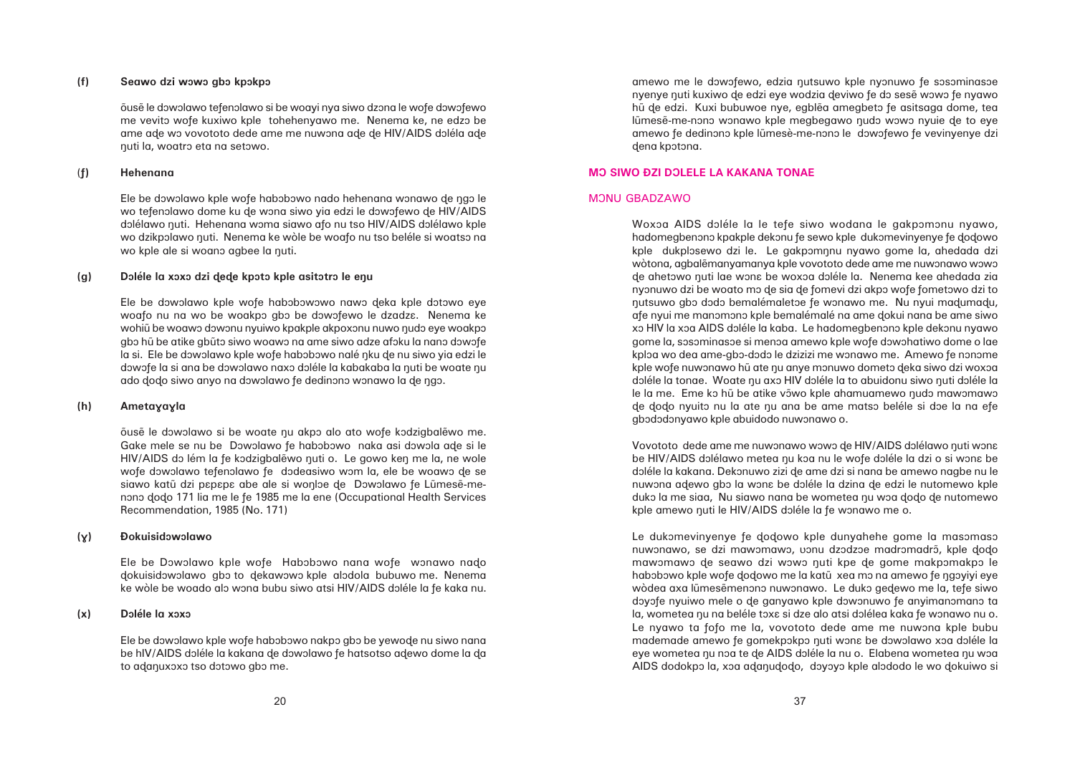### **(f) Seawo dzi wôwô gbô kpôkpô**

õuse le dowolawo tefenolawo si be woayi nya siwo dzona le wofe dowofewo me vevito wofe kuxiwo kple tohehenyawo me. Nenema ke, ne edzo be ame ade wo vovototo dede ame me nuwona ade de HIV/AIDS doléla ade åuti la, woatrô eta na setôwo.

### (**ñ) Hehenana**

Ele be dowolawo kple wofe habobowo nado hehenana wonawo de ngo le wo tefenolawo dome ku de wona siwo yia edzi le dowofewo de HIV/AIDS dolélawo nuti. Hehenana woma siawo afo nu tso HIV/AIDS dolélawo kple wo dzikpolawo nuti. Nenema ke wòle be woafo nu tso beléle si woatso na wo kple ale si woano agbee la nuti.

### **(g) Dôléle la xôxô dzi ðeðe kpôtô kple asitôtrô le eåu**

Ele be dowolawo kple wofe habobowowo nawo deka kple dotowo eye woafo nu na wo be woakpo gbo be dowofewo le dzadza. Nenema ke wohiũ be woawo dowonu nyuiwo kpakple akpoxonu nuwo nudo eye woakpo gbo hũ be atike gbũto siwo woawo na ame siwo adze afoku la nano dowofe la si. Ele be dowolawo kple wofe habobowo nalé nku de nu siwo yia edzi le dowofe la si ana be dowolawo naxo doléle la kabakaba la nuti be woate nu ado dodo siwo anyo na dowolawo fe dedinono wonawo la de ngo.

### **(h) Ametayayla**

õuse le dowolawo si be woate nu akpo alo ato wofe kodzigbalewo me. Gake mele se nu be Dowolawo fe habobowo naka asi dowola ade si le HIV/AIDS do lém la fe kodzigbalewo nuti o. Le gowo ken me la, ne wole wofe dowolawo tefenolawo fe dodeasiwo wom la, ele be woawo de se siawo katū dzi papapa abe ale si wonloe de Dowolawo fe Lūmese-menono dodo 171 lia me le fe 1985 me la ene (Occupational Health Services Recommendation, 1985 (No. 171)

### **(ê) Ðokuisidôwôlawo**

Ele be Dowolawo kple wofe Habobowo nana wofe wonawo nado dokuisidowolawo gbo to dekawowo kple alodola bubuwo me. Nenema ke wòle be woado alo wona bubu siwo atsi HIV/AIDS doléle la fe kaka nu.

### **(x) Dôléle la xôxô**

Ele be dowolawo kple wofe habobowo nakpo gbo be yewode nu siwo nana be hIV/AIDS doléle la kakana de dowolawo fe hatsotso adewo dome la da to adanuxoxo tso dotowo abo me.

amewo me le dowofewo, edzia nutsuwo kple nyonuwo fe sosominasoe nyenye nuti kuxiwo de edzi eye wodzia deviwo fe do sesẽ wowo fe nyawo hũ de edzi. Kuxi bubuwoe nye, egblẽa amegbeto fe asitsaga dome, tea lūmese-me-nono wonawo kple megbegawo nudo wowo nyuie de to eye amewo fe dedinono kple lũmesè-me-nono le dowofewo fe vevinyenye dzi dena kpotona.

# **MO SIWO ĐZI DOLELE LA KAKANA TONAE**

### MONU GBADZAWO

Woxoa AIDS doléle la le tefe siwo wodana le gakpomonu nyawo, hadomegbenono kpakple dekonu fe sewo kple dukomevinyenye fe dodowo kple dukplosewo dzi le. Le gakpomnnu nyawo gome la, ahedada dzi wòtona, agbalẽmanyamanya kple vovototo dede ame me nuwonawo wowo de ahetowo nuti lae wona be woxoa doléle la. Nenema kee ahedada zia nyonuwo dzi be woato mo de sia de fomevi dzi akpo wofe fometowo dzi to nutsuwo gbo dodo bemalémaletoe fe wonawo me. Nu nyui madumadu, afe nyui me manomono kple bemalémalé na ame dokui nana be ame siwo xo HIV la xoa AIDS doléle la kaba. Le hadomegbenono kple dekonu nyawo gome la, sosominasoe si menoa amewo kple wofe dowohatiwo dome o lae kploa wo dea ame-gbo-dodo le dzizizi me wonawo me. Amewo fe nonome kple wofe nuwonawo hũ ate nu anye monuwo dometo deka siwo dzi woxoa doléle la tonae. Woate nu axo HIV doléle la to abuidonu siwo nuti doléle la le la me. Eme ko hũ be atike võwo kple ahamuamewo nudo mawomawo de dodo nyuito nu la ate nu ana be ame matso beléle si doe la na efe gbododonyawo kple abuidodo nuwonawo o.

Vovototo dede ame me nuwonawo wowo de HIV/AIDS dolélawo nuti wona be HIV/AIDS dolélawo metea nu koa nu le wofe doléle la dzi o si wona be dôléle la kakana. Dekônuwo zizi ðe ame dzi si nana be amewo nagbe nu le nuwona adewo gbo la wona be doléle la dzina de edzi le nutomewo kple duko la me siaa, Nu siawo nana be wometea nu woa dodo de nutomewo kple amewo nuti le HIV/AIDS doléle la fe wonawo me o.

Le dukomevinyenye fe dodowo kple dunyahehe gome la masomaso nuwonawo, se dzi mawomawo, vonu dzodzoe madromadrõ, kple dodo mawomawo de seawo dzi wowo nuti kpe de gome makpomakpo le habobowo kple wofe dodowo me la katū xea mo na amewo fe ngoyiyi eye wòdea axa lũmesẽmenono nuwonawo. Le duko gedewo me la, tefe siwo doyofe nyuiwo mele o de ganyawo kple dowonuwo fe anyimanomano ta la, wometea nu na beléle toxe si dze alo atsi dolélea kaka fe wonawo nu o. Le nyawo ta fofo me la, vovototo dede ame me nuwona kple bubu mademade amewo fe gomekpokpo nuti wona be dowolawo xoa doléle la eye wometea nu noa te de AIDS doléle la nu o. Elabena wometea nu woa AIDS dodokpo la, xoa adanudodo, doyoyo kple alododo le wo dokuiwo si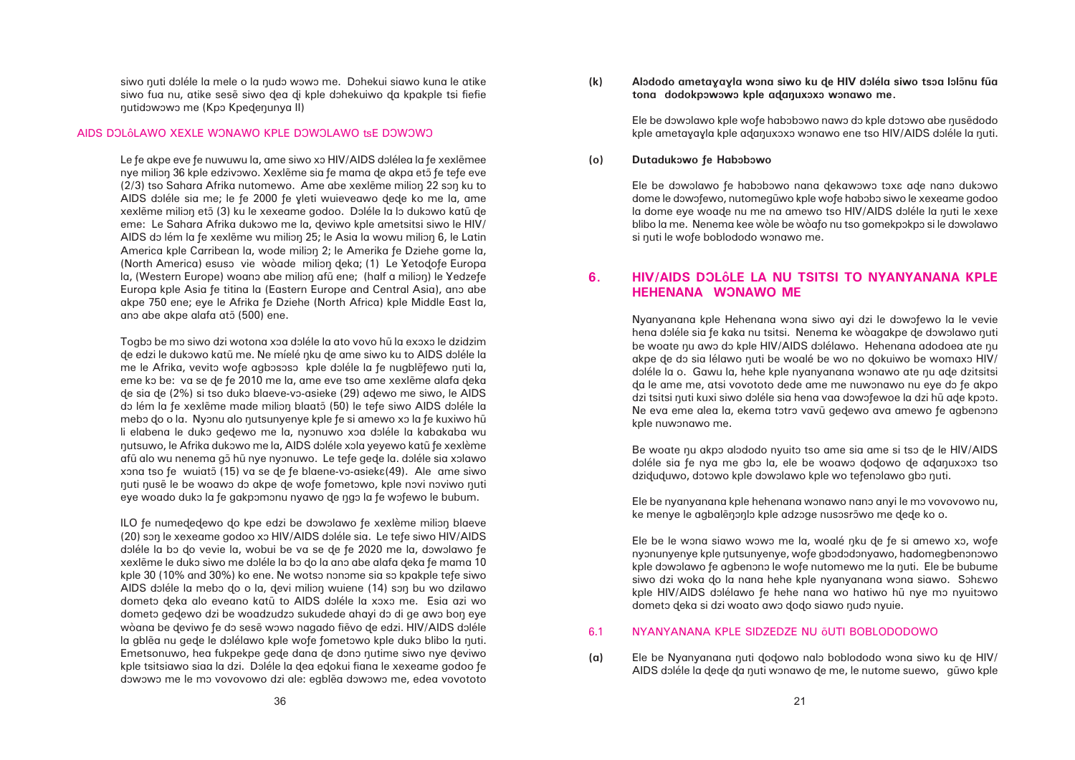siwo nuti doléle la mele o la nudo wowo me. Dohekui siawo kuna le atike siwo fua nu, atike sesẽ siwo dea di kple dohekuiwo da kpakple tsi fiefie nutidowowo me (Kpo Kpedenunya II)

### AIDS DOLÔLAWO XEXLE WONAWO KPLE DOWOLAWO tsE DOWOWO

Le fe akpe eve fe nuwuwu la, ame siwo xo HIV/AIDS dolélea la fe xexlemee nye milion 36 kple edzivowo. Xexleme sia fe mama de akpa ető fe tefe eve (2/3) tso Sahara Afrika nutomewo. Ame abe xexieme milion 22 son ku to AIDS doléle sia me; le fe 2000 fe yleti wuieveawo dede ko me la, ame xexlēme milion ető (3) ku le xexeame godoo. Doléle la lo dukowo katú de eme: Le Sahara Afrika dukowo me la, deviwo kple ametsitsi siwo le HIV/ AIDS do lém la fe xexlême wu milion 25; le Asia la wowu milion 6, le Latin America kple Carribean la, wode milion 2; le Amerika fe Dziehe gome la, (North America) esuso vie wòade milion deka; (1) Le Yetodofe Europa la, (Western Europe) woano abe milion afũ ene; (half a milion) le Yedzefe Europa kple Asia fe titina la (Eastern Europe and Central Asia), ano abe akpe 750 ene; eye le Afrika ñe Dziehe (North Africa) kple Middle East la, ano abe akpe alafa atõ (500) ene.

Togbo be mo siwo dzi wotona xoa doléle la ato vovo hũ la exoxo le dzidzim de edzi le dukowo katū me. Ne míelé nku de ame siwo ku to AIDS doléle la me le Afrika, vevito wofe agbososo kple doléle la fe nugblěfewo nuti la, eme ko be: va se de fe 2010 me la, ame eve tso ame xexlēme alafa deka ðe sia ðe (2%) si tso dukô blaeve-vô-asieke (29) aðewo me siwo, le AIDS do lém la fe xexlẽme made milion blaato (50) le tefe siwo AIDS doléle la mebo do o la. Nyonu alo nutsunyenye kple fe si amewo xo la fe kuxiwo hu li elabena le duko gedewo me la, nyonuwo xoa doléle la kabakaba wu nutsuwo, le Afrika dukowo me la, AIDS doléle xola yeyewo katū fe xexlème afu alo wu nenema gõ hu nye nyonuwo. Le tefe gede la. doléle sia xolawo xona tso fe wuiatõ (15) va se de fe blaene-vo-asieka(49). Ale ame siwo nuti nusẽ le be woawo do akpe de wofe fometowo, kple novi noviwo nuti eye woado duko la fe gakpomonu nyawo de ngo la fe wofewo le bubum.

ILO fe numededewo do kpe edzi be dowolawo fe xexlème milion blaeve (20) son le xexeame godoo xo HIV/AIDS doléle sia. Le tefe siwo HIV/AIDS doléle la bo do vevie la, wobui be va se de fe 2020 me la, dowolawo fe xexlẽme le duko siwo me doléle la bo do la ano abe alafa deka fe mama 10 kple 30 (10% and 30%) ko ene. Ne wotso nonome sia so kpakple tefe siwo AIDS doléle la mebo do o la, devi milion wuiene (14) son bu wo dzilawo dometo deka alo eveano katú to AIDS doléle la xoxo me. Esia azi wo dometo gedewo dzi be woadzudzo sukudede ahayi do di ge awo bon eye wòana be deviwo fe do sesẽ wowo nagado fievo de edzi. HIV/AIDS doléle la gblea nu gede le dolélawo kple wofe fometowo kple duko blibo la nuti. Emetsonuwo, hea fukpekpe gede dana de dono nutime siwo nye deviwo kple tsitsiawo siaa la dzi. Doléle la dea edokui fiana le xexeame godoo fe dowowo me le mo vovovowo dzi ale: egblea dowowo me, edea vovototo (k) Alododo ametayayla wona siwo ku de HIV doléla siwo tsoa lolõnu fua tona dodokpowowo kple adanuxoxo wonawo me.

Ele be dowolawo kple wofe habobowo nawo do kple dotowo abe nusedodo kple ametayayla kple adanuxoxo wonawo ene tso HIV/AIDS doléle la nuti.

**(o)** Dutadukowo fe Habobowo

AIDS doléle la dede da nuti wonawo de me, le nutome suewo, gūwo kple

Ele be dowolawo fe habobowo nana dekawowo toxa ade nano dukowo dome le dowofewo, nutomegũwo kple wofe habobo siwo le xexeame godoo la dome eye woade nu me na amewo tso HIV/AIDS doléle la nuti le xexe blibo la me. Nenema kee wòle be wòafo nu tso gomekpokpo si le dowolawo si nuti le wofe boblododo wonawo me.

# **6. HIV/AIDS DÔLÉLE LA NU TSITSI TO NYANYANANA KPLE HEHENANA WÔNAWO ME**

Nyanyanana kple Hehenana wona siwo ayi dzi le dowofewo la le vevie hena doléle sia fe kaka nu tsitsi. Nenema ke wòagakpe de dowolawo nuti be woate nu awo do kple HIV/AIDS dolélawo. Hehenana adodoea ate nu akpe de do sia lélawo nuti be woalé be wo no dokuiwo be womaxo HIV/ doléle la o. Gawu la, hehe kple nyanyanana wonawo ate nu ade dzitsitsi da le ame me, atsi vovototo dede ame me nuwonawo nu eye do fe akpo dzi tsitsi nuti kuxi siwo doléle sia hena vaa dowofewoe la dzi hũ ade kpoto. Ne eva eme alea la, ekema totro vavu gedewo ava amewo fe agbenono kple nuwonawo me.

Be woate nu akpo alododo nyuito tso ame sia ame si tso de le HIV/AIDS doléle sia fe nya me gbo la, ele be woawo dodowo de adanuxoxo tso dziduduwo, dotowo kple dowolawo kple wo tefenolawo gbo nuti.

Ele be nyanyanana kple hehenana wonawo nano anyi le mo vovovowo nu, ke menye le agbalen and kple adzoge nusosrowo me dede ko o.

Ele be le wona siawo wowo me la, woalé nku de fe si amewo xo, wofe nyonunyenye kple nutsunyenye, wofe gbododonyawo, hadomegbenonowo kple dowolawo fe agbenono le wofe nutomewo me la nuti. Ele be bubume siwo dzi woka do la nana hehe kple nyanyanana wona siawo. Sohawo kple HIV/AIDS dolélawo fe hehe nana wo hatiwo hũ nye mo nyuitowo dometo deka si dzi woato awo dodo siawo nudo nyuie.

# 6.1 NYANYANANA KPLE SIDZEDZE NU ÅUTI BOBLODODOWO

(a) Ele be Nyanyanana nuti dodowo nalo boblododo wona siwo ku de HIV/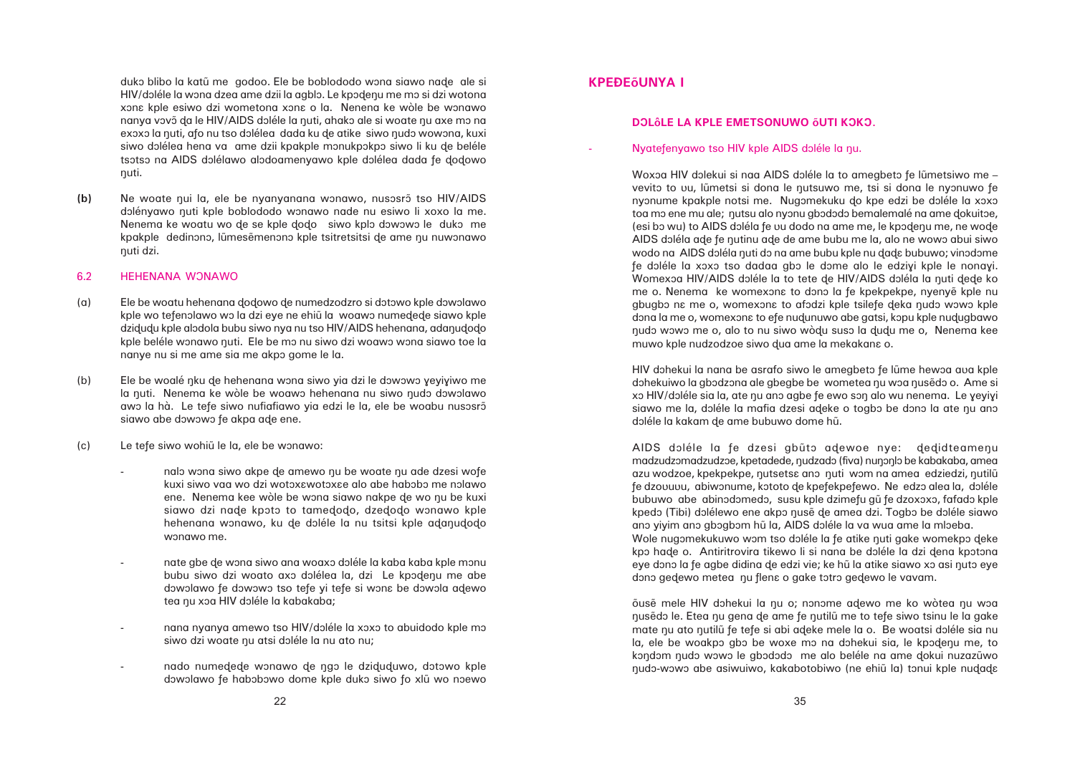duko blibo la katū me godoo. Ele be boblododo wona siawo nade ale si HIV/doléle la wona dzea ame dzii la agblo. Le kpodenu me mo si dzi wotona xona kple esiwo dzi wometona xona o la. Nenena ke wòle be wonawo nanya vovõ da le HIV/AIDS doléle la nuti, ahako ale si woate nu axe mo na exoxo la nuti, afo nu tso dolélea dada ku de atike siwo nudo wowona, kuxi siwo dolélea hena va ame dzii kpakple monukpokpo siwo li ku de beléle tsotso na AIDS dolélawo alodoamenyawo kple dolélea dada fe dodowo nuti.

(b) Ne woate qui la, ele be nyanyanana wonawo, nusosrõ tso HIV/AIDS dolényawo nuti kple boblododo wonawo nade nu esiwo li xoxo la me. Nenema ke woatu wo de se kple dodo siwo kplo dowowo le duko me kpakple dedinono, lũmesẽmenono kple tsitretsitsi de ame nu nuwonawo nuti dzi.

### 6.2 HEHENANA WONAWO

- (a) Ele be woatu hehenana ðoðowo ðe numedzodzro si dôtôwo kple dôwôlawo kple wo tefenolawo wo la dzi eye ne ehiũ la woawo numedede siawo kple dzidudu kple alodola bubu siwo nya nu tso HIV/AIDS hehenana, adanudodo kple beléle wonawo nuti. Ele be mo nu siwo dzi woawo wona siawo toe la nanye nu si me ame sia me akpo gome le la.
- (b) Ele be woalé nku de hehenana wona siwo yia dzi le dowowo yeyiyiwo me la nuti. Nenema ke wòle be woawo hehenana nu siwo nudo dowolawo awo la hà. Le tefe siwo nufiafiawo yia edzi le la, ele be woabu nusosro siawo abe dowowo fe akpa ade ene.
- (c) Le tefe siwo wohi $\tilde{u}$  le la, ele be wonawo:
	- nalo wona siwo akpe de amewo nu be woate nu ade dzesi wofe kuxi siwo vaa wo dzi wotoxawotoxaa alo abe habobo me nolawo ene. Nenema kee wòle be wona siawo nakpe de wo nu be kuxi siawo dzi nade kpoto to tamedodo, dzedodo wonawo kple hehenana wonawo, ku de doléle la nu tsitsi kple adanudodo wonawo me.
	- nate gbe de wona siwo ana woaxo doléle la kaba kaba kple monu bubu siwo dzi woato axo dolélea la, dzi Le kpodenu me abe dowolawo fe dowowo tso tefe yi tefe si wona be dowola adewo tea nu xoa HIV doléle la kabakaba;
	- nana nyanya amewo tso HIV/doléle la xoxo to abuidodo kple mo siwo dzi woate nu atsi doléle la nu ato nu;
	- nado numedede wonawo de ngo le dziduduwo, dotowo kple dowolawo fe habobowo dome kple duko siwo fo xlũ wo noewo

# **KPEÐEÅUNYA I**

# **DOLÔLE LA KPLE EMETSONUWO ÕUTI KOKO.**

# Nyatefenyawo tso HIV kple AIDS doléle la nu.

Woxoa HIV dolekui si naa AIDS doléle la to amegbeto fe lũmetsiwo me – vevito to uu, lũmetsi si dona le nutsuwo me, tsi si dona le nyonuwo fe nyonume kpakple notsi me. Nugomekuku do kpe edzi be doléle la xoxo toa mo ene mu ale; nutsu alo nyonu gbododo bemalemalé na ame dokuitoe, (esi bo wu) to AIDS doléla fe uu dodo na ame me, le kpodenu me, ne wode AIDS doléla ade fe nutinu ade de ame bubu me la, alo ne wowo abui siwo wodo na AIDS doléla nuti do na ame bubu kple nu dada bubuwo; vinodome fe doléle la xoxo tso dadaa abo le dome alo le edzivi kple le nonavi. Womexoa HIV/AIDS doléle la to tete de HIV/AIDS doléla la nuti dede ko me o. Nenema ke womexona to dono la fe kpekpekpe, nyenye kple nu gbugbo na me o, womexona to gfodzi kple tsilefe deka nudo wowo kple dona la me o, womexona to efe nudunuwo abe gatsi, kopu kple nudugbawo hudo wowo me o, alo to nu siwo wòdu suso la dudu me o, Nenema kee muwo kple nudzodzoe siwo dua ame la mekakana o.

HIV dohekui la nana be asrafo siwo le amegbeto fe lũme hewoa ava kple dohekuiwo la gbodzona ale gbegbe be wometea nu woa nusedo o. Ame si xo HIV/doléle sia la, ate nu ano agbe fe ewo son alo wu nenema. Le yeyiyi siawo me la, doléle la mafia dzesi adeke o togbo be dono la ate nu ano doléle la kakam de ame bubuwo dome hũ.

AIDS doléle la fe dzesi gbūto adewoe nye: dedidteamenu madzudzomadzudzoe, kpetadede, nudzado (fiva) nunonlo be kabakaba, amea azu wodzoe, kpekpekpe, nutsetsa ano nuti wom na amea edziedzi, nutilů fe dzouuvu, abiwonume, kototo de kpefekpefewo. Ne edzo alea la, doléle bubuwo abe abinodomedo, susu kple dzimefu gũ fe dzoxoxo, fafado kple kpedo (Tibi) dolélewo ene akpo nusẽ de amea dzi. Togbo be doléle siawo ano yiyim ano gbogbom hũ la, AIDS doléle la va wua ame la mloeba. Wole nugomekukuwo wom tso doléle la fe atike nuti gake womekpo deke kpo hade o. Antiritrovira tikewo li si nana be doléle la dzi dena kpotona eye dono la fe agbe didina de edzi vie; ke hũ la atike siawo xo asi nuto eye dono gedewo metea nu flena o gake totro gedewo le vavam.

õuse mele HIV dohekui la nu o; nonome adewo me ko wòtea nu woa husedo le. Etea nu gena de ame fe nutilu me to tefe siwo tsinu le la gake mate nu ato nutilũ fe tefe si abi adeke mele la o. Be woatsi doléle sia nu la, ele be woakpo gbo be woxe mo na dohekui sia, le kpodenu me, to kondom nudo wowo le gbododo me alo beléle na ame dokui nuzazūwo nudo-wowo abe asiwuiwo, kakabotobiwo (ne ehiũ la) tonui kple nudada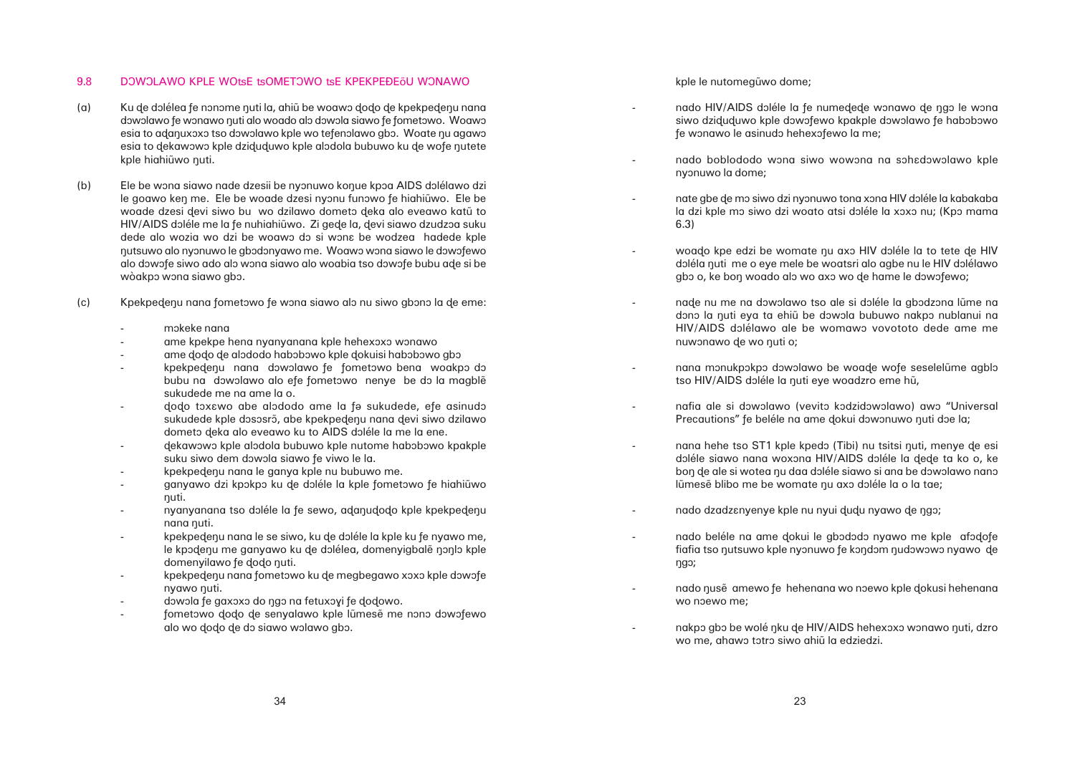### 9.8 DOWOLAWO KPLE WOtsE tsOMETOWO tsE KPEKPEĐEŐU WONAWO

- (a) Ku de dolélea fe nonome nuti la, ahiũ be woawo dodo de kpekpedenu nana dowolawo fe wonawo nuti alo woado alo dowola siawo fe fometowo. Woawo esia to adanuxoxo tso dowolawo kple wo tefenolawo gbo. Woate nu agawo esia to dekawowo kple dziduduwo kple alodola bubuwo ku de wofe nutete kple hiahiūwo nuti.
- (b) Ele be wona siawo nade dzesii be nyonuwo konue kpôa AIDS dôlélawo dzi le goawo ken me. Ele be woade dzesi nyonu funowo fe hiahiũwo. Ele be woade dzesi devi siwo bu wo dzilawo dometo deka alo eveawo katū to HIV/AIDS doléle me la fe nuhiahiũwo. Zi gede la, devi siawo dzudzoa suku dede alo wozia wo dzi be woawo do si wona be wodzea hadede kple nutsuwo alo nyonuwo le gbodonyawo me. Woawo wona siawo le dowofewo alo dôwôñe siwo ado alô wôna siawo alo woabia tso dôwôñe bubu aðe si be wòakpo wona siawo gbo.
- (c) Kpekpedenu nana fometowo fe wona siawo alo nu siwo gbono la de eme:
	- môkeke nana
	- ame kpekpe hena nyanyanana kple hehexoxo wonawo
	- ame dodo de alododo habobowo kple dokuisi habobowo gbo
	- kpekpedenu nana dowolawo fe fometowo bena woakpo do bubu na dowolawo alo efe fometowo nenye be do la magble sukudede me na ame la o.
	- dodo toxawo abe alododo ame la fa sukudede, efe asinudo sukudede kple dososrõ, abe kpekpedenu nana devi siwo dzilawo dometo deka alo eveawo ku to AIDS doléle la me la ene.
	- dekawowo kple alodola bubuwo kple nutome habobowo kpakple suku siwo dem dowola siawo fe viwo le la.
	- kpekpedenu nana le ganya kple nu bubuwo me.
	- ganyawo dzi kpokpo ku de doléle la kple fometowo fe hiahiũwo nuti.
	- nyanyanana tso doléle la fe sewo, adanudodo kple kpekpedenu nana nuti.
	- kpekpedenu nana le se siwo, ku de doléle la kple ku fe nyawo me, le kpodenu me ganyawo ku de dolélea, domenyigbale nonlo kple domenyilawo fe dodo nuti.
	- kpekpedenu nana fometowo ku de megbegawo xoxo kple dowofe nyawo nuti.
	- dowola fe gaxoxo do ngo na fetuxoyi fe dodowo.
	- fometowo dodo de senyalawo kple lũmesẽ me nono dowofewo alo wo dodo de do siawo wolawo gbo.

kple le nutomeguwo dome;

- fe wonawo le asinudo hehexofewo la me;
- nyonuwo la dome;
- 6.3)
	-
- nuwonawo de wo nuti o;
- tso HIV/AIDS doléle la nuti eye woadzro eme hũ,

-

-

- 
- lũmesẽ blibo me be womate nu axo doléle la o la tae;
- nado dzadz $\varepsilon$ nyenye kple nu nyui dudu nyawo de ngo;
- ågô;
- wo noewo me;
- wo me, ahawo totro siwo ahiũ la edziedzi.

nado HIV/AIDS doléle la fe numedede wonawo de ngo le wona siwo dziduduwo kple dowofewo kpakple dowolawo fe habobowo

nado boblododo wona siwo wowona na sohadowolawo kple

nate gbe de mo siwo dzi nyonuwo tona xona HIV doléle la kabakaba la dzi kple mo siwo dzi woato atsi doléle la xoxo nu; (Kpo mama

woado kpe edzi be womate nu axo HIV doléle la to tete de HIV doléla nuti me o eye mele be woatsri alo agbe nu le HIV dolélawo gbo o, ke bon woado alo wo axo wo de hame le dowofewo;

nade nu me na dowolawo tso ale si doléle la gbodzona lũme na dono la nuti eya ta ehiũ be dowola bubuwo nakpo nublanui na HIV/AIDS dolélawo ale be womawo vovototo dede ame me

nana monukpokpo dowolawo be woade wofe seselelume agblo

nafia ale si dowolawo (vevito kodzidowolawo) awo "Universal Precautions" fe beléle na ame dokui dowonuwo nuti doe la;

nana hehe tso ST1 kple kpedo (Tibi) nu tsitsi nuti, menye de esi doléle siawo nana woxona HIV/AIDS doléle la dede ta ko o, ke bon de ale si wotea nu daa doléle siawo si ana be dowolawo nano

nado beléle na ame dokui le gbododo nyawo me kple afodofe fiafia tso nutsuwo kple nyonuwo fe kondom nudowowo nyawo de

nado nusẽ amewo fe hehenana wo noewo kple dokusi hehenana

nakpo gbo be wolé nku de HIV/AIDS hehexoxo wonawo nuti, dzro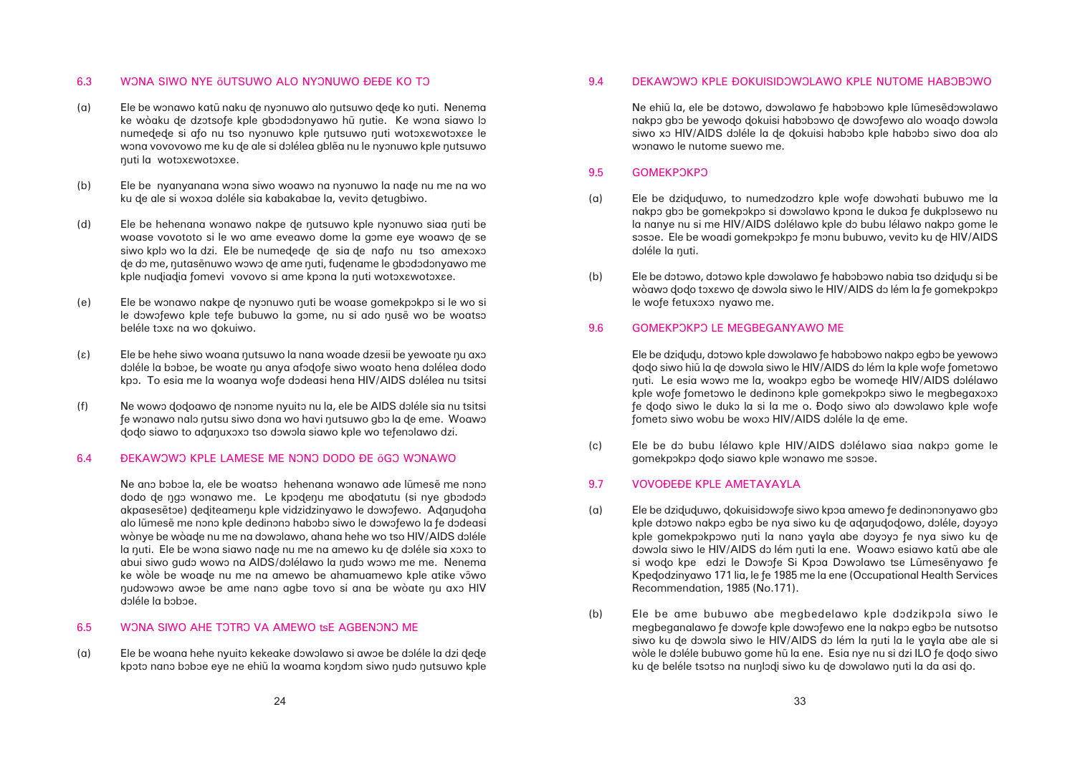### 6.3 WONA SIWO NYE ÕUTSUWO ALO NYONUWO ĐEĐE KO TO

- (a) Ele be wonawo katū naku de nyonuwo alo nutsuwo dede ko nuti. Nenema ke wòaku de dzotsofe kple gbododonyawo hũ nutie. Ke wona siawo lo numedede si afo nu tso nyonuwo kple nutsuwo nuti wotoxawotoxae le wona vovovowo me ku de ale si dolélea gblea nu le nyonuwo kple nutsuwo nuti la wotoxawotoxae.
- (b) Ele be nyanyanana wona siwo woawo na nyonuwo la nade nu me na wo ku de ale si woxoa doléle sia kabakabae la, vevito detugbiwo.
- (d) Ele be hehenana wonawo nakpe de nutsuwo kple nyonuwo siaa nuti be woase vovototo si le wo ame eveawo dome la gome eye woawo de se siwo kplo wo la dzi. Ele be numedede de sia de nafo nu tso amexoxo de do me, nutasẽnuwo wowo de ame nuti, fudename le gbododonyawo me kple nudiadia fomevi vovovo si ame kpona la nuti wotoxawotoxae.
- (e) Ele be wonawo nakpe de nyonuwo nuti be woase gomekpokpo si le wo si le dowofewo kple tefe bubuwo la gome, nu si ado nusẽ wo be woatso beléle toxa na wo dokuiwo.
- $(\epsilon)$  Ele be hehe siwo woana nutsuwo la nana woade dzesii be yewoate nu axo doléle la boboe, be woate nu anya afodofe siwo woato hena dolélea dodo kpo. To esia me la woanya wofe dodeasi hena HIV/AIDS dolélea nu tsitsi
- (f) Ne wowo dodoawo de nonome nyuito nu la, ele be AIDS doléle sia nu tsitsi fe wonawo nalo nutsu siwo dona wo havi nutsuwo gbo la de eme. Woawo dodo siawo to adanuxoxo tso dowola siawo kple wo tefenolawo dzi.

### 6.4 DEKAWOWO KPLE LAMESE ME NONO DODO ĐE ÕGO WONAWO

Ne ano boboe la, ele be woatso hehenana wonawo ade lũmesẽ me nono dodo de ngo wonawo me. Le kpodenu me abodatutu (si nye gbododo akpasesetoe) dediteamenu kple vidzidzinyawo le dowofewo. Adanudoha alo lũmesẽ me nono kple dedinono habobo siwo le dowofewo la fe dodeasi wònye be wòade nu me na dowolawo, ahana hehe wo tso HIV/AIDS doléle la nuti. Ele be wona siawo nade nu me na amewo ku de doléle sia xoxo to abui siwo gudo wowo na AIDS/dolélawo la nudo wowo me me. Nenema ke wòle be woade nu me na amewo be ahamuamewo kple atike vowo nudowowo awoe be ame nano agbe tovo si ana be wòate nu axo HIV doléle la boboe.

# 6.5 WONA SIWO AHE TOTRO VA AMEWO tsE AGBENONO ME

(a) Ele be woana hehe nyuito kekeake dowolawo si awoe be doléle la dzi dede kpoto nano boboe eye ne ehiũ la woama kondom siwo nudo nutsuwo kple

# 9.4 DEKAWOWO KPLE ĐOKUISIDOWOLAWO KPLE NUTOME HABOBOWO

(a) Ele be dziduduwo, to numedzodzro kple wofe dowohati bubuwo me la nakpo gbo be gomekpokpo si dowolawo kpona le dukoa fe dukplosewo nu la nanye nu si me HIV/AIDS dolélawo kple do bubu lélawo nakpo gome le sosoe. Ele be woadi gomekpokpo fe monu bubuwo, vevito ku de HIV/AIDS

Ne ehiũ la, ele be dotowo, dowolawo fe habobowo kple lũmesẽdowolawo nakpo gbo be yewodo dokuisi habobowo de dowofewo alo woado dowola siwo xo HIV/AIDS doléle la de dokuisi habobo kple habobo siwo doa alo wonawo le nutome suewo me.

wòawo dodo toxawo de dowola siwo le HIV/AIDS do lém la fe gomekpokpo

### 9.5 GOMEKPOKPO

- doléle la nuti.
- (b) Ele be dotowo, dotowo kple dowolawo fe habobowo nabia tso dzidudu si be le wofe fetuxoxo nyawo me.

### 9.6 GOMEKPOKPO LE MEGBEGANYAWO ME

kple dotowo nakpo egbo be nya siwo ku de adanudodowo, doléle, doyoyo kple gomekpokpowo nuti la nano yayla abe doyoyo fe nya siwo ku de dowola siwo le HIV/AIDS do lém nuti la ene. Woawo esiawo katū abe ale si wodo kpe edzi le Dowofe Si Kpoa Dowolawo tse Lũmesẽnyawo fe Kpedodzinyawo 171 lia, le fe 1985 me la ene (Occupational Health Services

Ele be dzidudu, dotowo kple dowolawo fe habobowo nakpo egbo be yewowo dodo siwo hiũ la de dowola siwo le HIV/AIDS do lém la kple wofe fometowo nuti. Le esia wowo me la, woakpo egbo be womede HIV/AIDS dolélawo kple wofe fometowo le dedinono kple gomekpokpo siwo le megbegaxoxo fe dodo siwo le duko la si la me o. Đodo siwo alo dowolawo kple wofe fometo siwo wobu be woxo HIV/AIDS doléle la de eme.

megbeganalawo fe dowofe kple dowofewo ene la nakpo egbo be nutsotso siwo ku de dowola siwo le HIV/AIDS do lém la nuti la le yayla abe ale si wòle le doléle bubuwo gome hũ la ene. Esia nye nu si dzi ILO fe dodo siwo

(c) Ele be do bubu lélawo kple HIV/AIDS dolélawo siaa nakpo gome le gomekpokpo dodo siawo kple wonawo me sosoe.

# 9.7 VOVOÐEÐE KPLE AMETAYAYLA

- (a) Ele be dziduduwo, dokuisidowofe siwo kpoa amewo fe dedinononyawo gbo Recommendation, 1985 (No.171).
- (b) Ele be ame bubuwo abe megbedelawo kple dodzikpola siwo le ku de beléle tsotso na nunlodi siwo ku de dowolawo nuti la da asi do.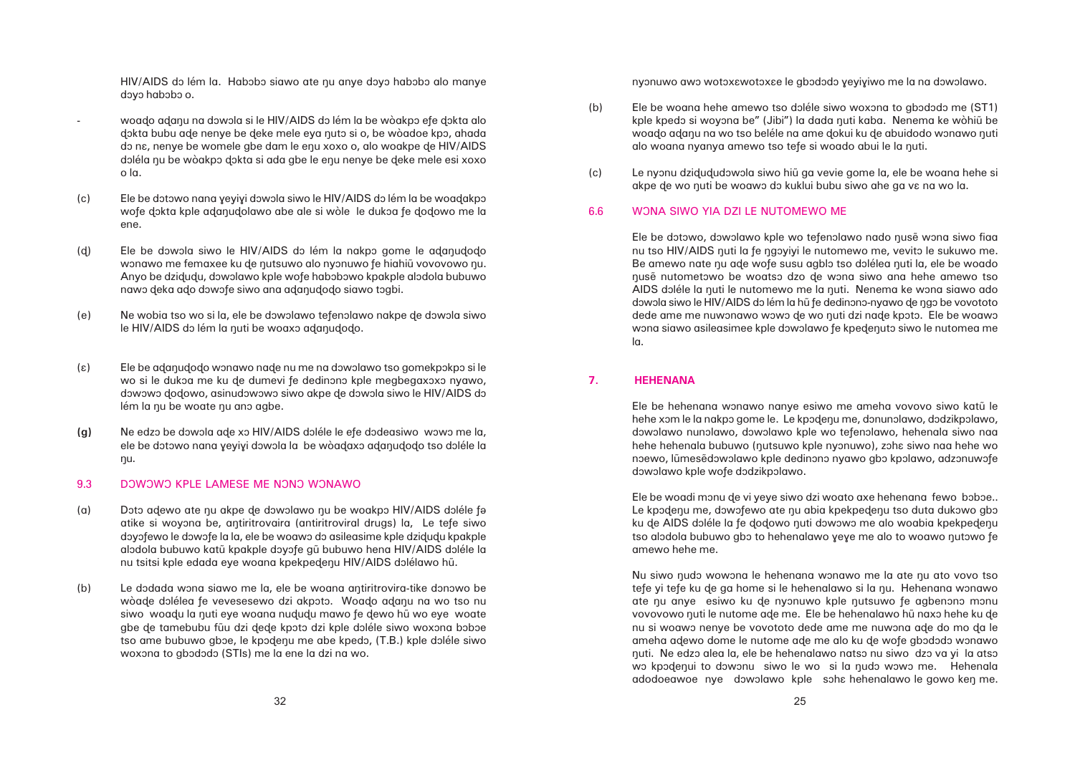HIV/AIDS do lém la. Habobo siawo ate nu anye doyo habobo alo manye dovo habobo o.

- woado adanu na dowola si le HIV/AIDS do lém la be wòakpo efe dokta alo dokta bubu ade nenye be deke mele eya nuto si o, be wòadoe kpo, ahada do na, nenye be womele gbe dam le enu xoxo o, alo woakpe de HIV/AIDS doléla nu be wòakpo dokta si ada gbe le enu nenye be deke mele esi xoxo o la.
- (c) Ele be dotowo nana yeyiyi dowola siwo le HIV/AIDS do lém la be woadakpo wofe dokta kple adanudolawo abe ale si wòle le dukoa fe dodowo me la ene.
- (d) Ele be dowola siwo le HIV/AIDS do lém la nakpo gome le adanudodo wonawo me femaxee ku de nutsuwo alo nyonuwo fe hiahiũ vovovowo nu. Anyo be dzidudu, dowolawo kple wofe habobowo kpakple alodola bubuwo nawo deka ado dowofe siwo ana adanudodo siawo togbi.
- (e) Ne wobia tso wo si la, ele be dowolawo tefenolawo nakpe de dowola siwo le HIV/AIDS do lém la nuti be woaxo adanudodo.
- (ε) Ele be adanudodo wonawo nade nu me na dowolawo tso gomekpokpo si le wo si le dukoa me ku de dumevi fe dedinono kple megbegaxoxo nyawo, dowowo dodowo, asinudowowo siwo akpe de dowola siwo le HIV/AIDS do lém la nu be woate nu ano agbe.
- **(g)** Ne edzo be dowola ade xo HIV/AIDS doléle le efe dodeasiwo wowo me la, ele be dotowo nana yeyiyi dowola la be wòadaxo adanudodo tso doléle la nu.

### 9.3 DOWOWO KPLE LAMESE ME NONO WONAWO

- (a) Doto adewo ate nu akpe de dowolawo nu be woakpo HIV/AIDS doléle fa atike si woyona be, antiritrovaira (antiritroviral drugs) la, Le tefe siwo doyofewo le dowofe la la, ele be woawo do asileasime kple dzidudu kpakple alodola bubuwo katū kpakple doyofe gū bubuwo hena HIV/AIDS doléle la nu tsitsi kple edada eye woana kpekpedenu HIV/AIDS dolélawo hũ.
- (b) Le dodada wona siawo me la, ele be woana antiritrovira-tike donowo be wòade dolélea fe vevesesewo dzi akpoto. Woado adanu na wo tso nu siwo woadu la nuti eye woana nududu mawo fe dewo hũ wo eye woate gbe de tamebubu fũu dzi dede kpoto dzi kple doléle siwo woxona boboe tso ame bubuwo gboe, le kpodenu me abe kpedo, (T.B.) kple doléle siwo woxona to gbododo (STIs) me la ene la dzi na wo.

nyonuwo awo wotoxawotoxae le gbododo yeyiyiwo me la na dowolawo.

kple kpedo si woyona be" (Jibi") la dada nuti kaba. Nenema ke wòhiũ be woado adanu na wo tso beléle na ame dokui ku de abuidodo wonawo nuti

- (b) Ele be woana hehe amewo tso doléle siwo woxona to gbododo me (ST1) alo woana nyanya amewo tso tefe si woado abui le la nuti.
- (c) Le nyonu dzidududowola siwo hiũ ga vevie gome la, ele be woana hehe si akpe de wo nuti be woawo do kuklui bubu siwo ahe ga va na wo la.
- 6.6 WÔNA SIWO YIA DZI LE NUTOMEWO ME

Ele be dotowo, dowolawo kple wo tefenolawo nado nusẽ wona siwo fiaa nu tso HIV/AIDS quti la fe ngoyiyi le nutomewo me, vevito le sukuwo me. Be amewo nate nu ade wofe susu agblo tso dolélea nuti la, ele be woado nusẽ nutometowo be woatso dzo de wona siwo ana hehe amewo tso AIDS doléle la nuti le nutomewo me la nuti. Nenema ke wona siawo ado dowola siwo le HIV/AIDS do lém la hũ fe dedinono-nyawo de ngo be vovototo dede ame me nuwonawo wowo de wo nuti dzi nade kpoto. Ele be woawo wona siawo asileasimee kple dowolawo fe kpedenuto siwo le nutomea me la.

Ele be woadi monu de vi yeye siwo dzi woato axe hehenana fewo boboe.. Le kpodenu me, dowofewo ate nu abia kpekpedenu tso duta dukowo gbo ku de AIDS doléle la fe dodowo nuti dowowo me alo woabia kpekpedenu tso alodola bubuwo gbo to hehenalawo yeye me alo to woawo nutowo fe amewo hehe me.

Nu siwo nudo wowona le hehenana wonawo me la ate nu ato vovo tso tefe yi tefe ku de ga home si le hehenalawo si la nu. Hehenana wonawo ate nu anye esiwo ku de nyonuwo kple nutsuwo fe agbenono monu vovovowo nuti le nutome ade me. Ele be hehenalawo hu naxo hehe ku de nu si woawo nenye be vovototo dede ame me nuwona ade do mo da le ameha adewo dome le nutome ade me alo ku de wofe gbododo wonawo huti. Ne edzo alea la, ele be hehenalawo natso nu siwo dzo va yi la atso wo kpodenui to dowonu siwo le wo si la nudo wowo me. Hehenala adodoeawoe nye dowolawo kple soha hehenalawo le gowo ken me.

# **7. HEHENANA**

Ele be hehenana wonawo nanye esiwo me ameha vovovo siwo katū le hehe xom le la nakpo gome le. Le kpodenu me, donunolawo, dodzikpolawo, dowolawo nunolawo, dowolawo kple wo tefenolawo, hehenala siwo naa hehe hehenala bubuwo (nutsuwo kple nyonuwo), zoha siwo naa hehe wo noewo, lũmesẽdowolawo kple dedinono nyawo gbo kpolawo, adzonuwofe dowolawo kple wofe dodzikpolawo.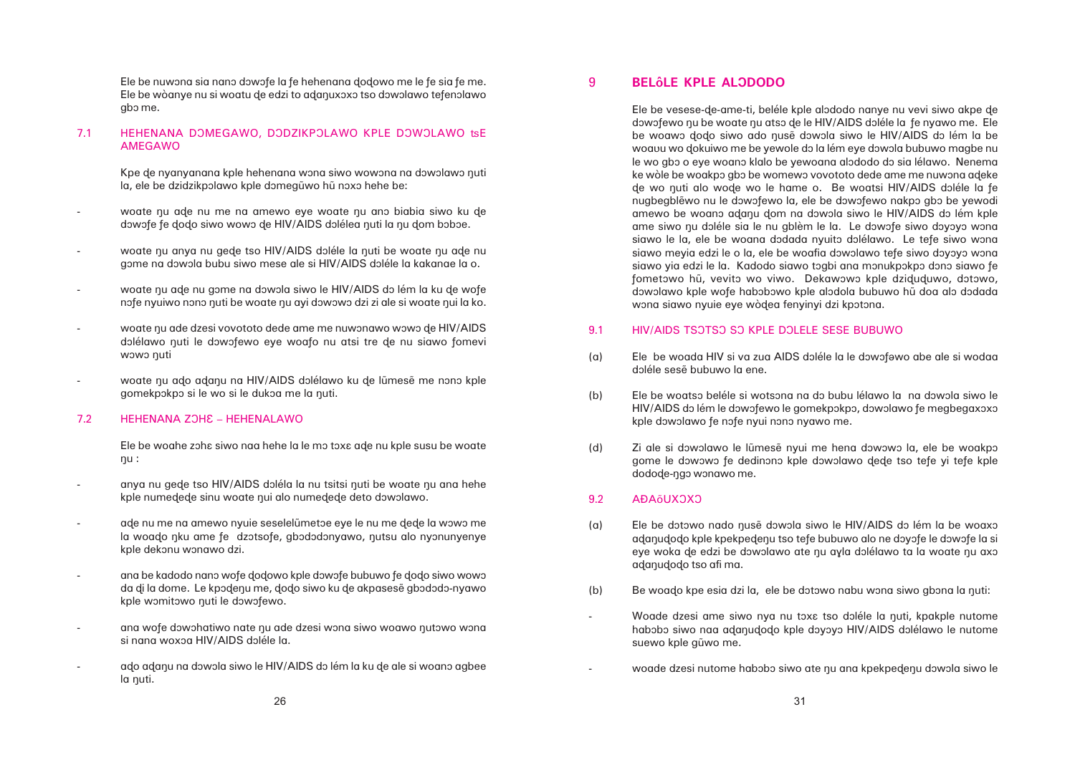Ele be nuwona sia nano dowofe la fe hehenana dodowo me le fe sia fe me. Ele be wòanye nu si woatu de edzi to adanuxoxo tso dowolawo tefenolawo gbô me.

### 7.1 HEHENANA DOMEGAWO, DODZIKPOLAWO KPLE DOWOLAWO tsE AMEGAWO

Kpe de nyanyanana kple hehenana wona siwo wowona na dowolawo nuti la, ele be dzidzikpolawo kple domegũwo hũ noxo hehe be:

- woate nu ade nu me na amewo eye woate nu ano biabia siwo ku de dowofe fe dodo siwo wowo de HIV/AIDS dolélea nuti la nu dom boboe.
- woate nu anya nu gede tso HIV/AIDS doléle la nuti be woate nu ade nu gome na dowola bubu siwo mese ale si HIV/AIDS doléle la kakanae la o.
- woate nu ade nu gome na dowola siwo le HIV/AIDS do lém la ku de wofe nofe nyuiwo nono nuti be woate nu ayi dowowo dzi zi ale si woate nui la ko.
- woate nu ade dzesi vovototo dede ame me nuwonawo wowo de HIV/AIDS dolélawo nuti le dowofewo eye woafo nu atsi tre de nu siawo fomevi wowo nuti
- woate nu ado adanu na HIV/AIDS dolélawo ku de lũmesẽ me nono kple gomekpokpo si le wo si le dukoa me la nuti.

### 7.2 HEHENANA ZOHE – HEHENALAWO

Ele be woahe zoha siwo naa hehe la le mo toxa ade nu kple susu be woate  $nu:$ 

- anya nu gede tso HIV/AIDS doléla la nu tsitsi nuti be woate nu ana hehe kple numedede sinu woate nui alo numedede deto dowolawo.
- ade nu me na amewo nyuie seselelumetoe eye le nu me dede la wowo me la woado nku ame fe dzotsofe, gbododonyawo, nutsu alo nyonunyenye kple dekonu wonawo dzi.
- ana be kadodo nano wofe dodowo kple dowofe bubuwo fe dodo siwo wowo da di la dome. Le kpodenu me, dodo siwo ku de akpasese gbododo-nyawo kple womitowo nuti le dowofewo.
- ana wofe dowohatiwo nate nu ade dzesi wona siwo woawo nutowo wona si nana woxoa HIV/AIDS doléle la.
- ado adanu na dowola siwo le HIV/AIDS do lém la ku de ale si woano agbee la nuti.

# 9 **BELÔLE KPLE ALODODO**

Ele be vesese-ðe-ame-ti, beléle kple alôdodo nanye nu vevi siwo akpe ðe dowofewo nu be woate nu atso de le HIV/AIDS doléle la fe nyawo me. Ele be woawo dodo siwo gdo nusẽ dowola siwo le HIV/AIDS do lém la be woavu wo dokuiwo me be yewole do la lém eye dowola bubuwo magbe nu le wo gbo o eye woano klalo be yewoana alododo do sia lélawo. Nenema ke wòle be woakpo gbo be womewo vovototo dede ame me nuwona adeke de wo nuti alo wode wo le hame o. Be woatsi HIV/AIDS doléle la fe nugbegblẽwo nu le dowofewo la, ele be dowofewo nakpo gbo be yewodi amewo be woano adanu dom na dowola siwo le HIV/AIDS do lém kple ame siwo nu doléle sia le nu gblèm le la. Le dowofe siwo doyoyo wona siawo le la, ele be woana dodada nyuito dolélawo. Le tefe siwo wona siawo meyia edzi le o la, ele be woafia dowolawo tefe siwo doyoyo wona siawo yia edzi le la. Kadodo siawo togbi ana monukpokpo dono siawo fe fometowo hū, vevito wo viwo. Dekawowo kple dziduduwo, dotowo, dowolawo kple wofe habobowo kple alodola bubuwo hũ doa alo dodada wona siawo nyuie eye wòdea fenyinyi dzi kpotona.

# 9.1 HIV/AIDS TSOTSO SO KPLE DOLELE SESE BUBUWO

- (a) Ele be woada HIV si va zua AIDS doléle la le dowofewo abe ale si wodaa doléle sesẽ bubuwo la ene.
- (b) Ele be woatso beléle si wotsona na do bubu lélawo la na dowola siwo le kple dowolawo fe nofe nyui nono nyawo me.
- (d) Zi ale si dowolawo le lũmesẽ nyui me hena dowowo la, ele be woakpo dodode-ngo wonawo me.

# 9.2 AÐA<sub>Õ</sub>UXOXO

-

- (a) Ele be dotowo nado nusẽ dowola siwo le HIV/AIDS do lém la be woaxo adanudodo tso afi ma.
- (b) Be woado kpe esia dzi la, ele be dotowo nabu wona siwo gbona la nuti:
	- suewo kple gũwo me.
		-

HIV/AIDS do lém le dowofewo le gomekpokpo, dowolawo fe megbegaxoxo

gome le dowowo fe dedinono kple dowolawo dede tso tefe yi tefe kple

adanudodo kple kpekpedenu tso tefe bubuwo alo ne doyofe le dowofe la si eye woka de edzi be dowolawo ate nu ayla dolélawo ta la woate nu axo

Woade dzesi ame siwo nya nu toxa tso doléle la nuti, kpakple nutome habobo siwo naa adanudodo kple doyoyo HIV/AIDS dolélawo le nutome

woade dzesi nutome habobo siwo ate nu ana kpekpedenu dowola siwo le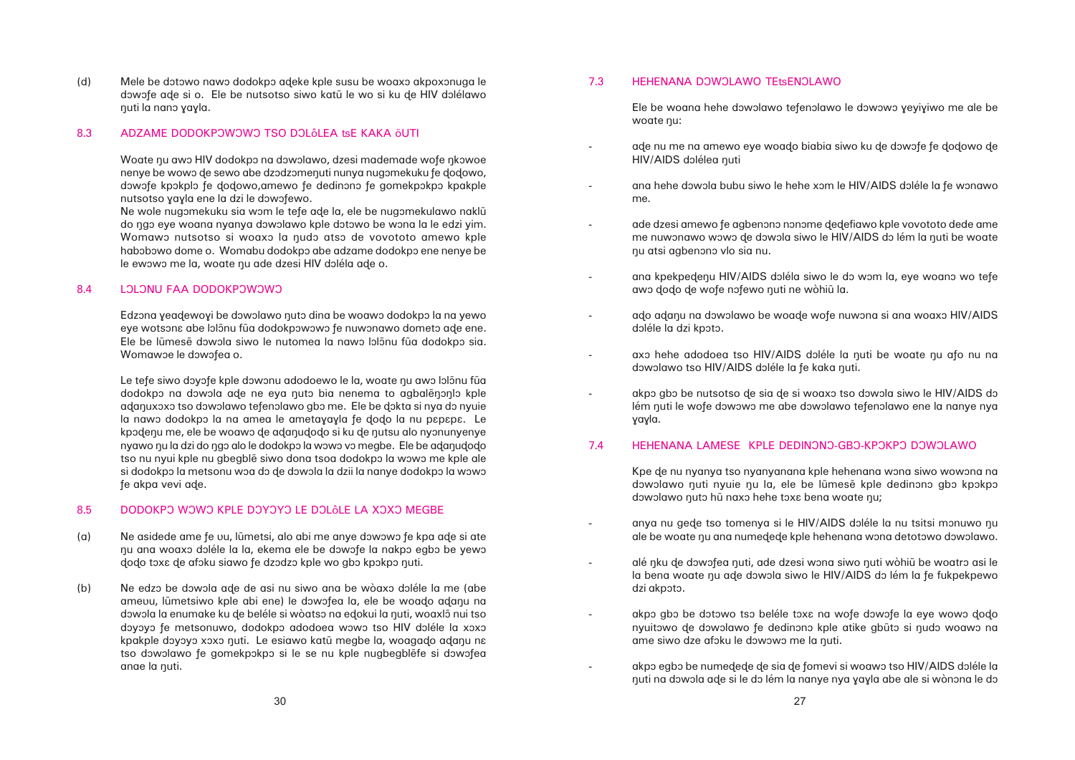(d) Mele be dotowo nawo dodokpo adeke kple susu be woaxo akpoxonuga le dowofe ade si o. Ele be nutsotso siwo katū le wo si ku de HIV dolélawo nuti la nano yayla.

### 8.3 ADZAME DODOKPOWOWO TSO DOLÔLEA tsE KAKA ÕUTI

Woate nu awo HIV dodokpo na dowolawo, dzesi mademade wofe nkowoe nenye be wowo de sewo abe dzodzomenuti nunya nugomekuku fe dodowo, dowofe kpokplo fe dodowo,amewo fe dedinono fe gomekpokpo kpakple nutsotso yayla ene la dzi le dowofewo.

Ne wole nugomekuku sia wom le tefe ade la, ele be nugomekulawo naklū do ngo eye woana nyanya dowolawo kple dotowo be wona la le edzi yim. Womawo nutsotso si woaxo la nudo atso de vovototo amewo kple habobowo dome o. Womabu dodokpo abe adzame dodokpo ene nenye be le ewowo me la, woate nu ade dzesi HIV doléla ade o.

### 8.4 LOLONU FAA DODOKPOWOWO

Edzona yeadewoyi be dowolawo nuto dina be woawo dodokpo la na yewo eye wotsona abe lolõnu fua dodokpowowo fe nuwonawo dometo ade ene. Ele be lũmesẽ dowola siwo le nutomea la nawo lolônu fũa dodokpo sia. Womawoe le dowofea o.

Le tefe siwo doyofe kple dowonu adodoewo le la, woate nu awo lolônu fua dodokpo na dôwôla ade ne eya nutô bia nenema to agbalênonio kple adanuxoxo tso dowolawo tefenolawo gbo me. Ele be dokta si nya do nyuie la nawo dodokpo la na amea le ametayayla fe dodo la nu papapa. Le kpodenu me, ele be woawo de adanudodo si ku de nutsu alo nyonunyenye nyawo nu la dzi do ngo alo le dodokpo la wowo vo megbe. Ele be adanudodo tso nu nyui kple nu gbegblẽ siwo dona tsoa dodokpo la wowo me kple ale si dodokpo la metsonu woa do de dowola la dzii la nanye dodokpo la wowo fe akpa vevi ade.

### 8.5 DODOKPO WOWO KPLE DOYOYO LE DOLÔLE LA XOXO MEGBE

ade nu me na amewo eye woado biabia siwo ku de dowofe fe dodowo de

- (a) Ne asidede ame fe vu, lũmetsi, alo abi me anye dowowo fe kpa ade si ate nu ana woaxo doléle la la, ekema ele be dowofe la nakpo egbo be yewo dodo toxa de afoku siawo fe dzodzo kple wo gbo kpokpo nuti.
- (b) Ne edzo be dowola ade de asi nu siwo ana be wòaxo doléle la me (abe amevu, lũmetsiwo kple abi ene) le dowofea la, ele be woado adanu na dowola la enumake ku de beléle si wòatso na edokui la nuti, woaxlõ nui tso doyoyo fe metsonuwo, dodokpo adodoea wowo tso HIV doléle la xoxo kpakple doyoyo xoxo nuti. Le esiawo katū megbe la, woagado adanu na tso dowolawo fe gomekpokpo si le se nu kple nugbegblėfe si dowofea anae la nuti.

ana hehe dowola bubu siwo le hehe xom le HIV/AIDS doléle la fe wonawo

### 7.3 HEHENANA DOWOLAWO TEtsENOLAWO

ade dzesi amewo fe agbenono nonome dedefiawo kple vovototo dede ame me nuwonawo wowo de dowola siwo le HIV/AIDS do lém la nuti be woate

Ele be woana hehe dowolawo tefenolawo le dowowo yeyiyiwo me ale be woate nu:

ana kpekpedenu HIV/AIDS doléla siwo le do wom la, eye woano wo tefe

- HIV/AIDS dolélea nuti
- me.
- nu atsi agbenono vlo sia nu.

ado adanu na dowolawo be woade wofe nuwona si ana woaxo HIV/AIDS

axo hehe adodoea tso HIV/AIDS doléle la nuti be woate nu afo nu na

akpo gbo be nutsotso de sia de si woaxo tso dowola siwo le HIV/AIDS do lém nuti le wofe dowowo me abe dowolawo tefenolawo ene la nanye nya

Kpe de nu nyanya tso nyanyanana kple hehenana wona siwo wowona na dowolawo nuti nyuie nu la, ele be lũmesẽ kple dedinono gbo kpokpo

anya nu gede tso tomenya si le HIV/AIDS doléle la nu tsitsi monuwo nu ale be woate nu ana numedede kple hehenana wona detotowo dowolawo.

alé nku de dowofea nuti, ade dzesi wona siwo nuti wòhiũ be woatro asi le la bena woate nu ade dowola siwo le HIV/AIDS do lém la fe fukpekpewo

akpo gbo be dotowo tso beléle toxa na wofe dowofe la eye wowo dodo nyuitôwo de dôwôlawo fe dedinônô kple atike gbūtô si nudô woawô na

akpo egbo be numedede de sia de fomevi si woawo tso HIV/AIDS doléle la nuti na dowola ade si le do lém la nanye nya yayla abe ale si wònona le do

-

-

-

-

- awo dodo de wofe nofewo nuti ne wòhiũ la.
- doléle la dzi kpoto.
- dowolawo tso HIV/AIDS doléle la fe kaka nuti.
- yayla.

# 7.4 HEHENANA LAMESE KPLE DEDINONO-GBO-KPOKPO DOWOLAWO

- dowolawo nuto hũ naxo hehe toxa bena woate nu;
- - dzi akpoto.
	- ame siwo dze afoku le dowowo me la nuti.
	-